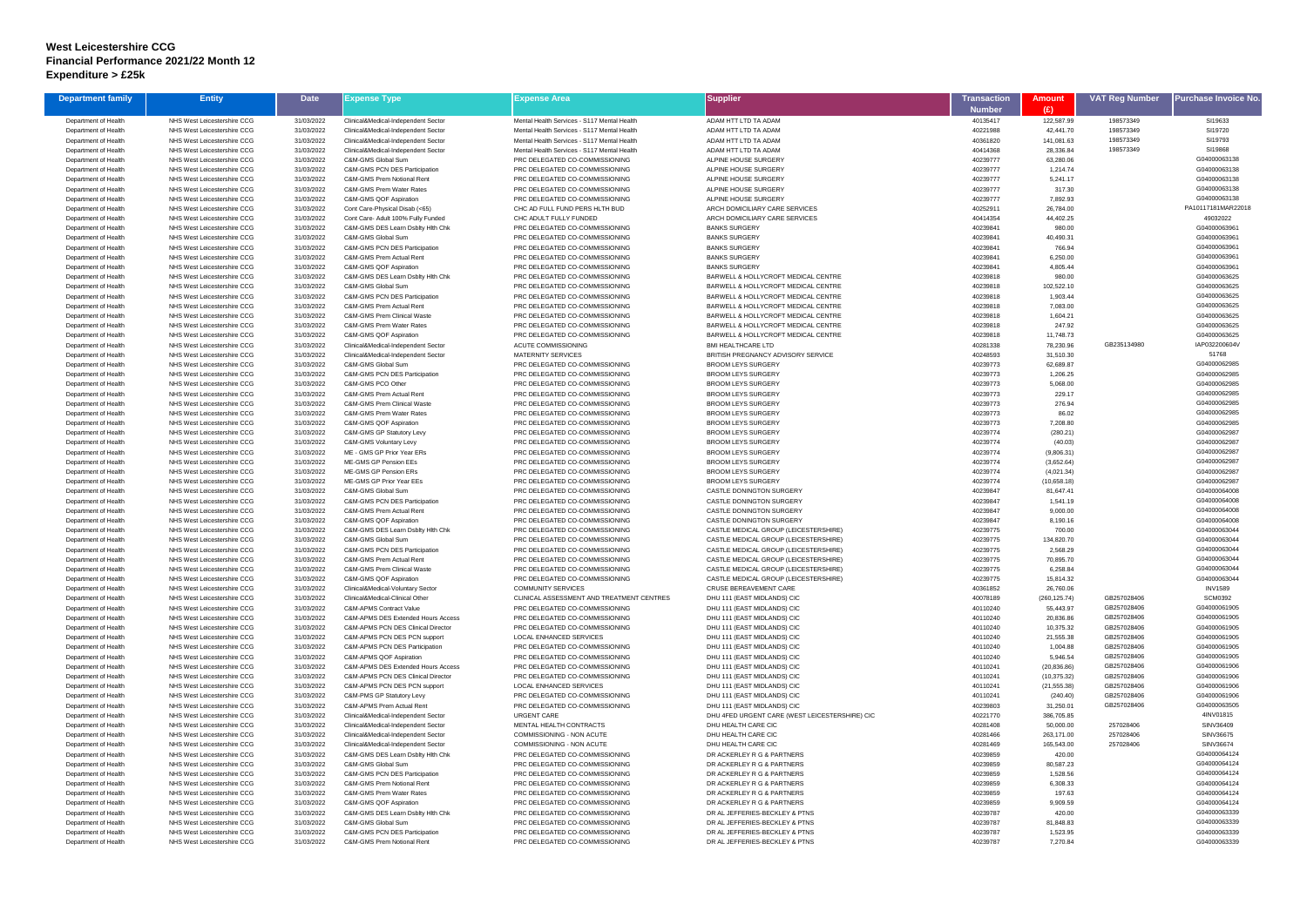## **West Leicestershire CCG Financial Performance 2021/22 Month 12 Expenditure > £25k**

| <b>Department family</b>                     | <b>Entity</b>                                              | <b>Date</b>              | Expense Type                                                           | Expense Area                                                     | <b>Supplier</b>                                                        | Transaction          | <b>Amount</b>            | <b>VAT Reg Number</b>      | Purchase Invoice No.           |
|----------------------------------------------|------------------------------------------------------------|--------------------------|------------------------------------------------------------------------|------------------------------------------------------------------|------------------------------------------------------------------------|----------------------|--------------------------|----------------------------|--------------------------------|
|                                              |                                                            |                          |                                                                        |                                                                  |                                                                        | <b>Number</b>        | (E)                      |                            |                                |
| Department of Health                         | NHS West Leicestershire CCG                                | 31/03/2022               | Clinical&Medical-Independent Sector                                    | Mental Health Services - S117 Mental Health                      | ADAM HTT LTD TA ADAM                                                   | 40135417             | 122,587.99               | 198573349                  | SI19633                        |
| Department of Health                         | NHS West Leicestershire CCG                                | 31/03/2022               | Clinical&Medical-Independent Sector                                    | Mental Health Services - S117 Mental Health                      | ADAM HTT LTD TA ADAM                                                   | 40221988             | 42,441.70                | 198573349                  | SI19720                        |
| Department of Health                         | NHS West Leicestershire CCG                                | 31/03/2022               | Clinical&Medical-Independent Sector                                    | Mental Health Services - S117 Mental Health                      | ADAM HTT LTD TA ADAM                                                   | 40361820             | 141,081.63               | 198573349                  | SI19793                        |
| Department of Health                         | NHS West Leicestershire CCG                                | 31/03/2022               | Clinical&Medical-Independent Sector                                    | Mental Health Services - S117 Mental Health                      | ADAM HTT LTD TA ADAM                                                   | 40414368             | 28,336.84                | 198573349                  | SI19868                        |
| Department of Health                         | NHS West Leicestershire CCG                                | 31/03/2022               | C&M-GMS Global Sum                                                     | PRC DELEGATED CO-COMMISSIONING                                   | ALPINE HOUSE SURGERY                                                   | 40239777             | 63,280.06                |                            | G04000063138                   |
| Department of Health                         | NHS West Leicestershire CCG<br>NHS West Leicestershire CCG | 31/03/2022<br>31/03/2022 | C&M-GMS PCN DES Participation<br><b>C&amp;M-GMS Prem Notional Rent</b> | PRC DELEGATED CO-COMMISSIONING<br>PRC DELEGATED CO-COMMISSIONING | ALPINE HOUSE SURGERY<br>ALPINE HOUSE SURGERY                           | 40239777<br>40239777 | 1,214.74<br>5,241.17     |                            | G04000063138<br>G04000063138   |
| Department of Health<br>Department of Health | NHS West Leicestershire CCG                                | 31/03/2022               | C&M-GMS Prem Water Rates                                               | PRC DELEGATED CO-COMMISSIONING                                   | ALPINE HOUSE SURGERY                                                   | 40239777             | 317.30                   |                            | G04000063138                   |
| Department of Health                         | NHS West Leicestershire CCG                                | 31/03/2022               | C&M-GMS QOF Aspiration                                                 | PRC DELEGATED CO-COMMISSIONING                                   | ALPINE HOUSE SURGERY                                                   | 40239777             | 7,892.93                 |                            | G04000063138                   |
| Department of Health                         | NHS West Leicestershire CCG                                | 31/03/2022               | Cont Care-Physical Disab (<65)                                         | CHC AD FULL FUND PERS HLTH BUD                                   | ARCH DOMICILIARY CARE SERVICES                                         | 40252911             | 26,784.00                |                            | PA10117181MAR22018             |
| Department of Health                         | NHS West Leicestershire CCG                                | 31/03/2022               | Cont Care- Adult 100% Fully Funded                                     | CHC ADULT FULLY FUNDED                                           | ARCH DOMICILIARY CARE SERVICES                                         | 40414354             | 44,402.25                |                            | 49032022                       |
| Department of Health                         | NHS West Leicestershire CCG                                | 31/03/2022               | C&M-GMS DES Learn Dsblty Hith Chk                                      | PRC DELEGATED CO-COMMISSIONING                                   | <b>BANKS SURGERY</b>                                                   | 40239841             | 980.00                   |                            | G04000063961                   |
| Department of Health                         | NHS West Leicestershire CCG                                | 31/03/2022               | C&M-GMS Global Sum                                                     | PRC DELEGATED CO-COMMISSIONING                                   | <b>BANKS SURGERY</b>                                                   | 40239841             | 40,490.31                |                            | G04000063961                   |
| Department of Health                         | NHS West Leicestershire CCG                                | 31/03/2022               | <b>C&amp;M-GMS PCN DES Participation</b>                               | PRC DELEGATED CO-COMMISSIONING                                   | <b>BANKS SURGERY</b>                                                   | 40239841             | 766.94                   |                            | G04000063961                   |
| Department of Health                         | NHS West Leicestershire CCG                                | 31/03/2022               | C&M-GMS Prem Actual Rent                                               | PRC DELEGATED CO-COMMISSIONING                                   | <b>BANKS SURGERY</b>                                                   | 40239841             | 6,250.00                 |                            | G04000063961                   |
| Department of Health                         | NHS West Leicestershire CCG                                | 31/03/2022               | C&M-GMS QOF Aspiration                                                 | PRC DELEGATED CO-COMMISSIONING                                   | <b>BANKS SURGERY</b><br>BARWELL & HOLLYCROFT MEDICAL CENTRE            | 40239841<br>40239818 | 4,805.44<br>980.00       |                            | G04000063961<br>G04000063625   |
| Department of Health<br>Department of Health | NHS West Leicestershire CCG<br>NHS West Leicestershire CCG | 31/03/2022<br>31/03/2022 | C&M-GMS DES Learn Dsblty Hlth Chk<br>C&M-GMS Global Sum                | PRC DELEGATED CO-COMMISSIONING<br>PRC DELEGATED CO-COMMISSIONING | BARWELL & HOLLYCROFT MEDICAL CENTRE                                    | 40239818             | 102,522.10               |                            | G04000063625                   |
| Department of Health                         | NHS West Leicestershire CCG                                | 31/03/2022               | C&M-GMS PCN DES Participation                                          | PRC DELEGATED CO-COMMISSIONING                                   | BARWELL & HOLLYCROFT MEDICAL CENTRE                                    | 40239818             | 1,903.44                 |                            | G04000063625                   |
| Department of Health                         | NHS West Leicestershire CCG                                | 31/03/2022               | C&M-GMS Prem Actual Rent                                               | PRC DELEGATED CO-COMMISSIONING                                   | BARWELL & HOLLYCROFT MEDICAL CENTRE                                    | 40239818             | 7,083.00                 |                            | G04000063625                   |
| Department of Health                         | NHS West Leicestershire CCG                                | 31/03/2022               | C&M-GMS Prem Clinical Waste                                            | PRC DELEGATED CO-COMMISSIONING                                   | BARWELL & HOLLYCROFT MEDICAL CENTRE                                    | 40239818             | 1,604.21                 |                            | G04000063625                   |
| Department of Health                         | NHS West Leicestershire CCG                                | 31/03/2022               | C&M-GMS Prem Water Rates                                               | PRC DELEGATED CO-COMMISSIONING                                   | BARWELL & HOLLYCROFT MEDICAL CENTRE                                    | 40239818             | 247.92                   |                            | G04000063625                   |
| Department of Health                         | NHS West Leicestershire CCG                                | 31/03/2022               | C&M-GMS QOF Aspiration                                                 | PRC DELEGATED CO-COMMISSIONING                                   | BARWELL & HOLLYCROFT MEDICAL CENTRE                                    | 40239818             | 11,748.73                |                            | G04000063625                   |
| Department of Health                         | NHS West Leicestershire CCG                                | 31/03/2022               | Clinical&Medical-Independent Sector                                    | <b>ACUTE COMMISSIONING</b>                                       | <b>BMI HEALTHCARE LTD</b>                                              | 40281338             | 78,230.96                | GB235134980                | IAP032200604V                  |
| Department of Health                         | NHS West Leicestershire CCG                                | 31/03/2022               | Clinical&Medical-Independent Sector                                    | <b>MATERNITY SERVICES</b>                                        | BRITISH PREGNANCY ADVISORY SERVICE                                     | 40248593             | 31,510.30                |                            | 51768                          |
| Department of Health                         | NHS West Leicestershire CCG                                | 31/03/2022               | C&M-GMS Global Sum                                                     | PRC DELEGATED CO-COMMISSIONING                                   | <b>BROOM LEYS SURGERY</b>                                              | 40239773             | 62,689.87                |                            | G04000062985                   |
| Department of Health                         | NHS West Leicestershire CCG                                | 31/03/2022               | <b>C&amp;M-GMS PCN DES Participation</b>                               | PRC DELEGATED CO-COMMISSIONING                                   | <b>BROOM LEYS SURGERY</b>                                              | 40239773             | 1,206.25                 |                            | G04000062985<br>G04000062985   |
| Department of Health<br>Department of Health | NHS West Leicestershire CCG<br>NHS West Leicestershire CCG | 31/03/2022<br>31/03/2022 | C&M-GMS PCO Other<br>C&M-GMS Prem Actual Rent                          | PRC DELEGATED CO-COMMISSIONING<br>PRC DELEGATED CO-COMMISSIONING | <b>BROOM LEYS SURGERY</b><br><b>BROOM LEYS SURGERY</b>                 | 40239773<br>40239773 | 5,068.00<br>229.17       |                            | G04000062985                   |
| Department of Health                         | NHS West Leicestershire CCG                                | 31/03/2022               | C&M-GMS Prem Clinical Waste                                            | PRC DELEGATED CO-COMMISSIONING                                   | <b>BROOM LEYS SURGERY</b>                                              | 40239773             | 276.94                   |                            | G04000062985                   |
| Department of Health                         | NHS West Leicestershire CCG                                | 31/03/2022               | C&M-GMS Prem Water Rates                                               | PRC DELEGATED CO-COMMISSIONING                                   | <b>BROOM LEYS SURGERY</b>                                              | 40239773             | 86.02                    |                            | G04000062985                   |
| Department of Health                         | NHS West Leicestershire CCG                                | 31/03/2022               | C&M-GMS QOF Aspiration                                                 | PRC DELEGATED CO-COMMISSIONING                                   | <b>BROOM LEYS SURGERY</b>                                              | 40239773             | 7,208.80                 |                            | G04000062985                   |
| Department of Health                         | NHS West Leicestershire CCG                                | 31/03/2022               | C&M-GMS GP Statutory Levy                                              | PRC DELEGATED CO-COMMISSIONING                                   | <b>BROOM LEYS SURGERY</b>                                              | 40239774             | (280.21)                 |                            | G04000062987                   |
| Department of Health                         | NHS West Leicestershire CCG                                | 31/03/2022               | <b>C&amp;M-GMS Voluntary Levy</b>                                      | PRC DELEGATED CO-COMMISSIONING                                   | <b>BROOM LEYS SURGERY</b>                                              | 40239774             | (40.03)                  |                            | G04000062987                   |
| Department of Health                         | NHS West Leicestershire CCG                                | 31/03/2022               | ME - GMS GP Prior Year ERs                                             | PRC DELEGATED CO-COMMISSIONING                                   | <b>BROOM LEYS SURGERY</b>                                              | 40239774             | (9,806.31)               |                            | G04000062987                   |
| Department of Health                         | NHS West Leicestershire CCG                                | 31/03/2022               | ME-GMS GP Pension EEs                                                  | PRC DELEGATED CO-COMMISSIONING                                   | <b>BROOM LEYS SURGERY</b>                                              | 40239774             | (3,652.64)               |                            | G04000062987                   |
| Department of Health                         | NHS West Leicestershire CCG                                | 31/03/2022               | ME-GMS GP Pension ERs                                                  | PRC DELEGATED CO-COMMISSIONING                                   | <b>BROOM LEYS SURGERY</b>                                              | 40239774             | (4,021.34)               |                            | G04000062987                   |
| Department of Health<br>Department of Health | NHS West Leicestershire CCG<br>NHS West Leicestershire CCG | 31/03/2022<br>31/03/2022 | ME-GMS GP Prior Year EEs<br>C&M-GMS Global Sum                         | PRC DELEGATED CO-COMMISSIONING<br>PRC DELEGATED CO-COMMISSIONING | <b>BROOM LEYS SURGERY</b><br><b>CASTLE DONINGTON SURGERY</b>           | 40239774<br>40239847 | (10,658.18)<br>81,647.41 |                            | G04000062987<br>G04000064008   |
| Department of Health                         | NHS West Leicestershire CCG                                | 31/03/2022               | <b>C&amp;M-GMS PCN DES Participation</b>                               | PRC DELEGATED CO-COMMISSIONING                                   | CASTLE DONINGTON SURGERY                                               | 40239847             | 1,541.19                 |                            | G04000064008                   |
| Department of Health                         | NHS West Leicestershire CCG                                | 31/03/2022               | C&M-GMS Prem Actual Rent                                               | PRC DELEGATED CO-COMMISSIONING                                   | <b>CASTLE DONINGTON SURGERY</b>                                        | 40239847             | 9,000.00                 |                            | G04000064008                   |
| Department of Health                         | NHS West Leicestershire CCG                                | 31/03/2022               | C&M-GMS QOF Aspiration                                                 | PRC DELEGATED CO-COMMISSIONING                                   | <b>CASTLE DONINGTON SURGERY</b>                                        | 40239847             | 8,190.16                 |                            | G04000064008                   |
| Department of Health                         | NHS West Leicestershire CCG                                | 31/03/2022               | C&M-GMS DES Learn Dsblty Hlth Chk                                      | PRC DELEGATED CO-COMMISSIONING                                   | CASTLE MEDICAL GROUP (LEICESTERSHIRE)                                  | 40239775             | 700.00                   |                            | G04000063044                   |
| Department of Health                         | NHS West Leicestershire CCG                                | 31/03/2022               | C&M-GMS Global Sum                                                     | PRC DELEGATED CO-COMMISSIONING                                   | CASTLE MEDICAL GROUP (LEICESTERSHIRE)                                  | 40239775             | 134,820.70               |                            | G04000063044                   |
| Department of Health                         | NHS West Leicestershire CCG                                | 31/03/2022               | C&M-GMS PCN DES Participation                                          | PRC DELEGATED CO-COMMISSIONING                                   | CASTLE MEDICAL GROUP (LEICESTERSHIRE)                                  | 40239775             | 2,568.29                 |                            | G04000063044                   |
| Department of Health                         | NHS West Leicestershire CCG                                | 31/03/2022               | C&M-GMS Prem Actual Rent                                               | PRC DELEGATED CO-COMMISSIONING                                   | CASTLE MEDICAL GROUP (LEICESTERSHIRE)                                  | 40239775             | 70,895.70                |                            | G04000063044                   |
| Department of Health                         | NHS West Leicestershire CCG                                | 31/03/2022               | C&M-GMS Prem Clinical Waste                                            | PRC DELEGATED CO-COMMISSIONING                                   | CASTLE MEDICAL GROUP (LEICESTERSHIRE)                                  | 40239775             | 6,258.84                 |                            | G04000063044                   |
| Department of Health<br>Department of Health | NHS West Leicestershire CCG<br>NHS West Leicestershire CCG | 31/03/2022<br>31/03/2022 | C&M-GMS QOF Aspiration<br>Clinical&Medical-Voluntary Sector            | PRC DELEGATED CO-COMMISSIONING<br><b>COMMUNITY SERVICES</b>      | CASTLE MEDICAL GROUP (LEICESTERSHIRE)<br><b>CRUSE BEREAVEMENT CARE</b> | 40239775<br>40361852 | 15,814.32<br>26,760.06   |                            | G04000063044<br><b>INV1589</b> |
| Department of Health                         | NHS West Leicestershire CCG                                | 31/03/2022               | Clinical&Medical-Clinical Other                                        | CLINICAL ASSESSMENT AND TREATMENT CENTRES                        | DHU 111 (EAST MIDLANDS) CIC                                            | 40078189             | (260, 125.74)            | GB257028406                | <b>SCM0392</b>                 |
| Department of Health                         | NHS West Leicestershire CCG                                | 31/03/2022               | <b>C&amp;M-APMS Contract Value</b>                                     | PRC DELEGATED CO-COMMISSIONING                                   | DHU 111 (EAST MIDLANDS) CIC                                            | 40110240             | 55,443.97                | GB257028406                | G04000061905                   |
| Department of Health                         | NHS West Leicestershire CCG                                | 31/03/2022               | C&M-APMS DES Extended Hours Access                                     | PRC DELEGATED CO-COMMISSIONING                                   | DHU 111 (EAST MIDLANDS) CIC                                            | 40110240             | 20,836.86                | GB257028406                | G04000061905                   |
| Department of Health                         | NHS West Leicestershire CCG                                | 31/03/2022               | C&M-APMS PCN DES Clinical Director                                     | PRC DELEGATED CO-COMMISSIONING                                   | DHU 111 (EAST MIDLANDS) CIC                                            | 40110240             | 10,375.32                | GB257028406                | G04000061905                   |
| Department of Health                         | NHS West Leicestershire CCG                                | 31/03/2022               | C&M-APMS PCN DES PCN support                                           | <b>LOCAL ENHANCED SERVICES</b>                                   | DHU 111 (EAST MIDLANDS) CIC                                            | 40110240             | 21,555.38                | GB257028406                | G04000061905                   |
| Department of Health                         | NHS West Leicestershire CCG                                | 31/03/2022               | C&M-APMS PCN DES Participation                                         | PRC DELEGATED CO-COMMISSIONING                                   | DHU 111 (EAST MIDLANDS) CIC                                            | 40110240             | 1,004.88                 | GB257028406                | G04000061905                   |
| Department of Health                         | NHS West Leicestershire CCG                                | 31/03/2022               | C&M-APMS QOF Aspiration                                                | PRC DELEGATED CO-COMMISSIONING                                   | DHU 111 (EAST MIDLANDS) CIC                                            | 40110240             | 5,946.54                 | GB257028406                | G04000061905                   |
| Department of Health                         | NHS West Leicestershire CCG                                | 31/03/2022               | C&M-APMS DES Extended Hours Access                                     | PRC DELEGATED CO-COMMISSIONING                                   | DHU 111 (EAST MIDLANDS) CIC                                            | 40110241             | (20, 836.86)             | GB257028406                | G04000061906                   |
| Department of Health                         | NHS West Leicestershire CCG                                | 31/03/2022               | C&M-APMS PCN DES Clinical Director                                     | PRC DELEGATED CO-COMMISSIONING                                   | DHU 111 (EAST MIDLANDS) CIC                                            | 40110241<br>40110241 | (10, 375.32)             | GB257028406<br>GB257028406 | G04000061906<br>G04000061906   |
| Department of Health<br>Department of Health | NHS West Leicestershire CCG<br>NHS West Leicestershire CCG | 31/03/2022<br>31/03/2022 | C&M-APMS PCN DES PCN support<br>C&M-PMS GP Statutory Levy              | LOCAL ENHANCED SERVICES<br>PRC DELEGATED CO-COMMISSIONING        | DHU 111 (EAST MIDLANDS) CIC<br>DHU 111 (EAST MIDLANDS) CIC             | 40110241             | (21, 555.38)<br>(240.40) | GB257028406                | G04000061906                   |
| Department of Health                         | NHS West Leicestershire CCG                                | 31/03/2022               | C&M-APMS Prem Actual Rent                                              | PRC DELEGATED CO-COMMISSIONING                                   | DHU 111 (EAST MIDLANDS) CIC                                            | 40239803             | 31,250.01                | GB257028406                | G04000063505                   |
| Department of Health                         | NHS West Leicestershire CCG                                | 31/03/2022               | Clinical&Medical-Independent Sector                                    | <b>URGENT CARE</b>                                               | DHU 4FED URGENT CARE (WEST LEICESTERSHIRE) CIC                         | 40221770             | 386,705.85               |                            | 4INV01815                      |
| Department of Health                         | NHS West Leicestershire CCG                                | 31/03/2022               | Clinical&Medical-Independent Sector                                    | MENTAL HEALTH CONTRACTS                                          | DHU HEALTH CARE CIC                                                    | 40281408             | 50,000.00                | 257028406                  | SINV36409                      |
| Department of Health                         | NHS West Leicestershire CCG                                | 31/03/2022               | Clinical&Medical-Independent Sector                                    | COMMISSIONING - NON ACUTE                                        | DHU HEALTH CARE CIC                                                    | 40281466             | 263,171.00               | 257028406                  | SINV36675                      |
| Department of Health                         | NHS West Leicestershire CCG                                | 31/03/2022               | Clinical&Medical-Independent Sector                                    | COMMISSIONING - NON ACUTE                                        | DHU HEALTH CARE CIC                                                    | 40281469             | 165,543.00               | 257028406                  | SINV36674                      |
| Department of Health                         | NHS West Leicestershire CCG                                | 31/03/2022               | C&M-GMS DES Learn Dsblty Hith Chk                                      | PRC DELEGATED CO-COMMISSIONING                                   | DR ACKERLEY R G & PARTNERS                                             | 40239859             | 420.00                   |                            | G04000064124                   |
| Department of Health                         | NHS West Leicestershire CCG                                | 31/03/2022               | C&M-GMS Global Sum                                                     | PRC DELEGATED CO-COMMISSIONING                                   | DR ACKERLEY R G & PARTNERS                                             | 40239859             | 80,587.23                |                            | G04000064124                   |
| Department of Health                         | NHS West Leicestershire CCG                                | 31/03/2022               | C&M-GMS PCN DES Participation                                          | PRC DELEGATED CO-COMMISSIONING                                   | DR ACKERLEY R G & PARTNERS                                             | 40239859             | 1,528.56                 |                            | G04000064124                   |
| Department of Health<br>Department of Health | NHS West Leicestershire CCG<br>NHS West Leicestershire CCG | 31/03/2022<br>31/03/2022 | C&M-GMS Prem Notional Rent<br>C&M-GMS Prem Water Rates                 | PRC DELEGATED CO-COMMISSIONING<br>PRC DELEGATED CO-COMMISSIONING | DR ACKERLEY R G & PARTNERS<br>DR ACKERLEY R G & PARTNERS               | 40239859<br>40239859 | 6,308.33<br>197.63       |                            | G04000064124<br>G04000064124   |
| Department of Health                         | NHS West Leicestershire CCG                                | 31/03/2022               | C&M-GMS QOF Aspiration                                                 | PRC DELEGATED CO-COMMISSIONING                                   | DR ACKERLEY R G & PARTNERS                                             | 40239859             | 9,909.59                 |                            | G04000064124                   |
| Department of Health                         | NHS West Leicestershire CCG                                | 31/03/2022               | C&M-GMS DES Learn Dsblty Hlth Chk                                      | PRC DELEGATED CO-COMMISSIONING                                   | DR AL JEFFERIES-BECKLEY & PTNS                                         | 40239787             | 420.00                   |                            | G04000063339                   |
| Department of Health                         | NHS West Leicestershire CCG                                | 31/03/2022               | C&M-GMS Global Sum                                                     | PRC DELEGATED CO-COMMISSIONING                                   | DR AL JEFFERIES-BECKLEY & PTNS                                         | 40239787             | 81,848.83                |                            | G04000063339                   |
| Department of Health                         | NHS West Leicestershire CCG                                | 31/03/2022               | C&M-GMS PCN DES Participation                                          | PRC DELEGATED CO-COMMISSIONING                                   | DR AL JEFFERIES-BECKLEY & PTNS                                         | 40239787             | 1,523.95                 |                            | G04000063339                   |
| Department of Health                         | NHS West Leicestershire CCG                                | 31/03/2022               | C&M-GMS Prem Notional Rent                                             | PRC DELEGATED CO-COMMISSIONING                                   | DR AL JEFFERIES-BECKLEY & PTNS                                         | 40239787             | 7,270.84                 |                            | G04000063339                   |
|                                              |                                                            |                          |                                                                        |                                                                  |                                                                        |                      |                          |                            |                                |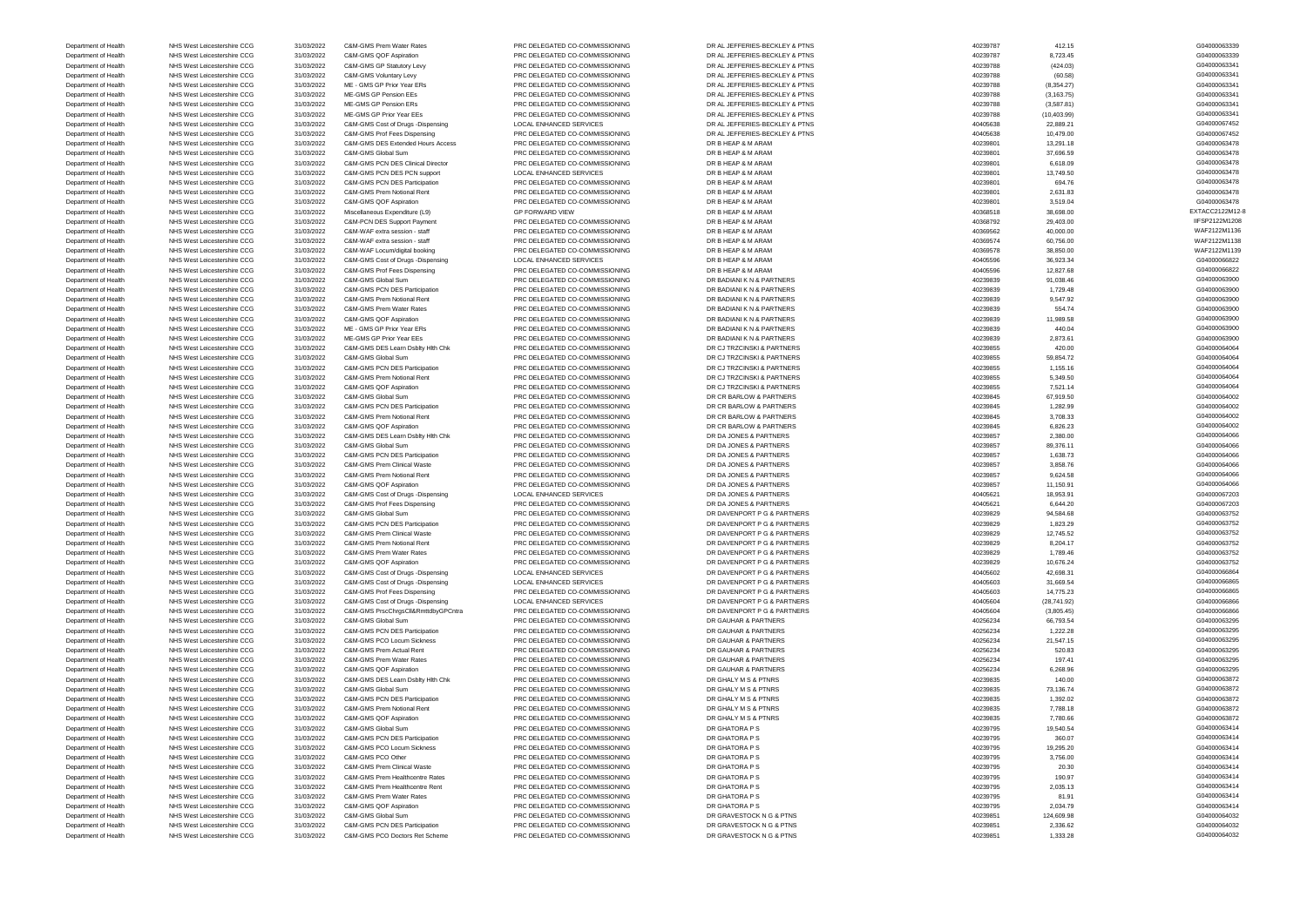Department of Health NHS West Leicestershire CCG 31/03/2022 C&M-GMS Prem Water Rates PRC DELEGATED CO-COMMISSIONING DR AL JEFFERIES-BECKLEY & PTNS 40239787 412.15 412.15 412.15 604000063339 Department of Health NHS West Leicestershire CCG 31/03/2022 C&M-GMS QOF Aspiration PRC DELEGATED CO-COMMISSIONING DR AL JEFFERIES-BECKLEY & PTNS 40239787 8,723.45 8,723.45 G04000063339 G04000063339<br>Department of Health NHS Department of Health NHS West Leicestershire CCG 31/03/2022 C&M-GMS GP Statutory Levy PRC DELEGATED CO-COMMISSIONING DR AL JEFFERIES-BECKLEY & PTNS 40239788 40239788 (424.03) 424.039 (504000063341 Department of Health NHS West Leicestershire CCG 31/03/2022 C&M-GMS Voluntary Levy PRC DELEGATED CO-COMMISSIONING DR AL JEFFERIES-BECKLEY & PTNS 40239788 40239788 (60.58) (60.58) G04000063341 Department of Health NHS West Leicestershire CCG 31/03/2022 ME - GMS GP Prior Year ERs PRC DELEGATED CO-COMMISSIONING DR AL JEFFERIES-BECKLEY & PTNS 40239788 (8,354.27) 40239788 (8,354.27) G04000063341 Department of Health NHS West Leicestershire CCG 31/03/2022 ME-GMS GP Pension EEs PRC DELEGATED CO-COMMISSIONING DR AL JEFFERIES-BECKLEY & PTNS 40239788 (3,163.75) 40239788 (3,163.75) G04000063341 Department of Health NHS West Leicestershire CCG 31/03/2022 ME-GMS GP Pension ERs PRC DELEGATED CO-COMMISSIONING DR AL JEFFERIES-BECKLEY & PTNS 40239788 40239788 (3,587.81) G04000063341 Department of Health NHS West Leicestershire CCG 31/03/2022 ME-GMS GP Prior Year EEs PRC DELEGATED CO-COMMISSIONING DR AL JEFFERIES-BECKLEY & PTNS 40239788 (10,403.99) 40239788 (10,403.99) 504000063341 Department of Health NHS West Leicestershire CCG 31/03/2022 C&M-GMS Cost of Drugs -Dispensing LOCAL ENHANCED SERVICES DR AL JEFFERIES-BECKLEY & PTNS 40405638 22,889.21 40405638 22,889.21 G04000067452 Department of Health NHS West Leicestershire CCG 31/03/2022 C&M-GMS Prof Fees Dispensing PRC DELEGATED CO-COMMISSIONING DR AL JEFFERIES-BECKLEY & PTNS 40405638 10,479.00 40405638 10,479.00 604000067452 Department of Health NHS West Leicestershire CCG 31/03/2022 C&M-GMS DES Extended Hours Access PRC DELEGATED CO-COMMISSIONING DR B HEAP & M ARAM 40239801 40239801 13,291.18 13,291.18 604000063478 Department of Health NHS West Leicestershire CCG 31/03/2022 C&M-GMS Global Sum PRC DELEGATED CO-COMMISSIONING DR B HEAP & M ARAM 40239801 40239801 37,696.59 40239801 37,696.59 604000063478 Department of Health NHS West Leicestershire CCG 31/03/2022 C&M-GMS PCN DES Clinical Director PRC DELEGATED CO-COMMISSIONING DR B HEAP & M ARAM 40239801 40239801 6,618.09 6,618.09 6,618.09 6,618.09 6,618.09 6,618.09 6,618. Department of Health NHS West Leicestershire CCG 31/03/2022 C&M-GMS PCN DES PCN support LOCAL ENHANCED SERVICES DR B HEAP & M ARAM 40239801 40239801 40239801 13,749.50 504000063478 Department of Health NHS West Leicestershire CCG 31/03/2022 C&M-GMS PCN DES Participation PRC DELEGATED CO-COMMISSIONING DR B HEAP & M ARAM 40239801 40239801 694.76 694.76 694000063478 Department of Health NHS West Leicestershire CCG 31/03/2022 C&M-GMS Prem Notional Rent PRC DELEGATED CO-COMMISSIONING DR B HEAP & M ARAM 40239801 40239801 2,631.83 40239801 2,631.83 G04000063478 Department of Health NHS West Leicestershire CCG 31/03/2022 C&M-GMS QOF Aspiration PRC DELEGATED CO-COMMISSIONING DR B HEAP & M ARAM 40239801 40239801 3,519.04 3,519.04 504000063478 Department of Health NHS West Leicestershire CCG 31/03/2022 Miscellaneous Expenditure (L9) GP FORWARD VIEW DR B HEAP & M ARAM 40368518 38,698.00 38,698.00 EXTACC2122M112-8 Department of Health NHS West Leicestershire CCG 31/03/2022 C&M-PCN DES Support Payment PRC DELEGATED CO-COMMISSIONING DR B HEAP & M ARAM 40368792 29,403.00 29,403.00 29,403.00 IIFSP2122M1208 Department of Health NHS West Leicestershire CCG 31/03/2022 C&M-WAF extra session - staff PRC DELEGATED CO-COMMISSIONING DR B HEAP & M ARAM 40369562 40,000.00 40369562 40,000.00 WAF2122M1136 Department of Health NHS West Leicestershire CCG 31/03/2022 C&M-WAF extra session - staff PRC DELEGATED CO-COMMISSIONING DR B HEAP & M ARAM 40369574 60,756.00 60.756.00 WAF2122M1138 Department of Health NHS West Leicestershire CCG 31/03/2022 C&M-WAF Locum/digital booking PRC DELEGATED CO-COMMISSIONING DR B HEAP & M ARAM 40369578 40369578 38,850.00 38,850.00 WAF2122M1139 Department of Health NHS West Leicestershire CCG 31/03/2022 C&M-GMS Cost of Drugs -Dispensing LOCAL ENHANCED SERVICES DR B HEAP & M ARAM 40405596 36,923.34 40405596 36,923.34 G04000066822 Department of Health NHS West Leicestershire CCG 31/03/2022 C&M-GMS Prof Fees Dispensing PRC DELEGATED CO-COMMISSIONING DR B HEAP & M ARAM 40405596 12,827.68 12,827.68 12,827.68 G04000066822 Department of Health NHS West Leicestershire CCG 31/03/2022 C&M-GMS Global Sum PRC DELEGATED CO-COMMISSIONING DR BADIANI K N & PARTNERS 40239839 91,038.46 91,038.46 91,038.46 G04000063900 Department of Health NHS West Leicestershire CCG 31/03/2022 C&M-GMS PCN DES Participation PRC DELEGATED CO-COMMISSIONING DR BADIANI K N & PARTNERS 40239839 40239839 1,729.48 40239839 1,729.48 504000063900 Department of Health NHS West Leicestershire CCG 31/03/2022 C&M-GMS Prem Notional Rent PRC DELEGATED CO-COMMISSIONING DR BADIANI K N & PARTNERS 40239839 40239839 9,547.92 9,547.92 504000063900 Department of Health NHS West Leicestershire CCG 31/03/2022 C&M-GMS Prem Water Rates PRC DELEGATED CO-COMMISSIONING DR BADIANI K N & PARTNERS 40239839 40239839 554.74 554.74 G04000063900 Department of Health NHS West Leicestershire CCG 31/03/2022 C&M-GMS QOF Aspiration PRC DELEGATED CO-COMMISSIONING DR BADIANI K N & PARTNERS 40239839 40239839 11,989.58 11,989.58 604000063900 Department of Health NHS West Leicestershire CCG 31/03/2022 ME - GMS GP Prior Year ERs PRC DELEGATED CO-COMMISSIONING DR BADIANI K N & PARTNERS 40239839 440.04 40239839 440.04 G04000063900 Department of Health NHS West Leicestershire CCG 31/03/2022 ME-GMS GP Prior Year EEs PRC DELEGATED CO-COMMISSIONING DR BADIANI K N & PARTNERS 40239839 40239839 2,873.61 40239839 2,873.61 Department of Health NHS West Leicestershire CCG 31/03/2022 C&M-GMS DES Learn Dsblty Hlth Chk PRC DELEGATED CO-COMMISSIONING DR CJ TRZCINSKI & PARTNERS 40239855 420.00 40239855 420.00 40239855 420.00 G04000064064 Department of Health NHS West Leicestershire CCG 31/03/2022 C&M-GMS Global Sum PRC DELEGATED CO-COMMISSIONING DR CJ TRZCINSKI & PARTNERS 40239855 59,854.72 40239855 59,854.72 604000064064 Department of Health NHS West Leicestershire CCG 31/03/2022 C&M-GMS PCN DES Participation PRC DELEGATED CO-COMMISSIONING DR CJ TRZCINSKI & PARTNERS 40239855 40239855 1,155.16 40239855 1,155.16 504000064064 Department of Health NHS West Leicestershire CCG 31/03/2022 C&M-GMS Prem Notional Rent PRC DELEGATED CO-COMMISSIONING DR CJ TRZCINSKI & PARTNERS 40239855 40239855 5,349.50 5,349.50 5,349.50 5,349.50 5,349.50 604000064064 Department of Health NHS West Leicestershire CCG 31/03/2022 C&M-GMS QOF Aspiration PRC DELEGATED CO-COMMISSIONING DR CJ TRZCINSKI & PARTNERS 40239855 7,521.14 40239855 7,521.14 G04000064064 Department of Health NHS West Leicestershire CCG 31/03/2022 C&M-GMS Global Sum PRC DELEGATED CO-COMMISSIONING DR CR BARLOW & PARTNERS 40239845 67,919.50 G04000064002 Department of Health NHS West Leicestershire CCG 31/03/2022 C&M-GMS PCN DES Participation PRC DELEGATED CO-COMMISSIONING DR CR BARLOW & PARTNERS 40239845 40239845 1,282.99 40239845 1,282.99 604000064002 Department of Health NHS West Leicestershire CCG 31/03/2022 C&M-GMS Prem Notional Rent PRC DELEGATED CO-COMMISSIONING DR CR BARLOW & PARTNERS 40239845 40239845 3,708.33 40239845 3,708.33 604000064002 Department of Health NHS West Leicestershire CCG 31/03/2022 C&M-GMS QOF Aspiration PRC DELEGATED CO-COMMISSIONING DR CR BARLOW & PARTNERS 40239845 6,826.23 664000064002 Department of Health NHS West Leicestershire CCG 31/03/2022 C&M-GMS DES Learn Dsblty Hlth Chk PRC DELEGATED CO-COMMISSIONING DR DA JONES & PARTNERS 40239857 40239857 2,380.00 40264000064066 Department of Health NHS West Leicestershire CCG 31/03/2022 C&M-GMS Global Sum PRC DELEGATED CO-COMMISSIONING DR DA JONES & PARTNERS 40239857 40239857 89,376.11 604000064066 Department of Health NHS West Leicestershire CCG 31/03/2022 C&M-GMS PCN DES Participation PRC DELEGATED CO-COMMISSIONING DR DA JONES & PARTNERS 40239857 40239857 1,638.73 40239857 1,638.73 604000064066 Department of Health NHS West Leicestershire CCG 31/03/2022 C&M-GMS Prem Clinical Waste PRC DELEGATED CO-COMMISSIONING DR DA JONES & PARTNERS 40239857 40239857 3,858.76 3,858.76 504000064066 Department of Health NHS West Leicestershire CCG 31/03/2022 C&M-GMS Prem Notional Rent PRC DELEGATED CO-COMMISSIONING DR DA JONES & PARTNERS 40239857 40239857 9,624.58 40239857 9,624.58 40239857 9,624.58 40239857 9,624.58 Department of Health NHS West Leicestershire CCG 31/03/2022 C&M-GMS QOF Aspiration PRC DELEGATED CO-COMMISSIONING DR DA JONES & PARTNERS 40239857 40239857 11,150.91 11,150.91 G04000064066 Department of Health NHS West Leicestershire CCG 31/03/2022 C&M-GMS Cost of Drugs -Dispensing LOCAL ENHANCED SERVICES DR DA JONES & PARTNERS 40405621 40405621 18,953.91 18,953.91 604000067203 Department of Health NHS West Leicestershire CCG 31/03/2022 C&M-GMS Prof Fees Dispensing PRC DELEGATED CO-COMMISSIONING DR DA JONES & PARTNERS 40405621 6,644.20 6644.20 604000067203 Department of Health NHS West Leicestershire CCG 31/03/2022 C&M-GMS Global Sum PRC DELEGATED CO-COMMISSIONING DR DAVENPORT P G & PARTNERS 40239829 94,584.68 94,584.68 94584.68 G04000063752 Department of Health NHS West Leicestershire CCG 31/03/2022 C&M-GMS PCN DES Participation PRC DELEGATED CO-COMMISSIONING DR DAVENPORT P G & PARTNERS 40239829 40239829 1,823.29 1,823.29 604000063752 Department of Health NHS West Leicestershire CCG 31/03/2022 C&M-GMS Prem Clinical Waste PRC DELEGATED CO-COMMISSIONING DR DAVENPORT P G & PARTNERS 40239829 12,745.52 12,745.52 604000063752 Department of Health NHS West Leicestershire CCG 31/03/2022 C&M-GMS Prem Notional Rent PRC DELEGATED CO-COMMISSIONING DR DAVENPORT P G & PARTNERS 40239829 8,204.17 40239829 8,204.17 6604000063752 Department of Health NHS West Leicestershire CCG 31/03/2022 C&M-GMS Prem Water Rates PRC DELEGATED CO-COMMISSIONING DR DAVENPORT P G & PARTNERS 40239829 40239829 1,789.46 40239829 1,789.46 604000063752 Department of Health NHS West Leicestershire CCG 31/03/2022 C&M-GMS QOF Aspiration PRC DELEGATED CO-COMMISSIONING DR DAVENPORT P G & PARTNERS 40239829 40239829 10,676.24 10:000053752 Department of Health NHS West Leicestershire CCG 31/03/2022 C&M-GMS Cost of Drugs -Dispensing LOCAL ENHANCED SERVICES DR DAVENPORT P G & PARTNERS 40405602 42,698.31 40405602 42,698.31 G04000066864 Department of Health NHS West Leicestershire CCG 31/03/2022 C&M-GMS Cost of Drugs -Dispensing LOCAL ENHANCED SERVICES DR DAVENPORT P G & PARTNERS 40405603 31,669.54 31,669.54 G04000066865 Department of Health NHS West Leicestershire CCG 31/03/2022 C&M-GMS Prof Fees Dispensing PRC DELEGATED CO-COMMISSIONING DR DAVENPORT P G & PARTNERS 40405603 44,775.23 14,775.23 504000066865 Department of Health NHS West Leicestershire CCG 31/03/2022 C&M-GMS Cost of Drugs -Dispensing LOCAL ENHANCED SERVICES DR DAVENPORT P G & PARTNERS 40405604 40405604 (28,741.92) GO4000066866 Department of Health NHS West Leicestershire CCG 31/03/2022 C&M-GMS PrscChrgsCll&RmttdbyGPCntra PRC DELEGATED CO-COMMISSIONING DR DAVENPORT P G & PARTNERS 40405604 40405604 (3,805.45) G04000066866 Department of Health NHS West Leicestershire CCG 31/03/2022 C&M-GMS Global Sum PRC DELEGATED CO-COMMISSIONING DR GAUHAR & PARTNERS 40256234 66,793.54 66,793.54 66,793.54 66,793.54 69,1000063295 Department of Health NHS West Leicestershire CCG 31/03/2022 C&M-GMS PCN DES Participation PRC DELEGATED CO-COMMISSIONING DR GAUHAR & PARTNERS 40256234 40256234 1,222.28 40256234 1,222.28 604000063295 Department of Health NHS West Leicestershire CCG 31/03/2022 C&M-GMS PCO Locum Sickness PRC DELEGATED CO-COMMISSIONING DR GAUHAR & PARTNERS 40256234 21,547.15 40256234 21,547.15 G04000063295 Department of Health NHS West Leicestershire CCG 31/03/2022 C&M-GMS Prem Actual Rent PRC DELEGATED CO-COMMISSIONING DR GAUHAR & PARTNERS 40256234 520.83 520.83 520.83 520.83 604000063295 Department of Health NHS West Leicestershire CCG 31/03/2022 C&M-GMS Prem Water Rates PRC DELEGATED CO-COMMISSIONING DR GAUHAR & PARTNERS 40256234 40256234 197.41 197.41 G04000063295 Department of Health NHS West Leicestershire CCG 31/03/2022 C&M-GMS QOF Aspiration PRC DELEGATED CO-COMMISSIONING DR GAUHAR & PARTNERS 40256234 40256234 6,268.96 604000063295 Department of Health NHS West Leicestershire CCG 31/03/2022 C&M-GMS DES Learn Dsblty Hlth Chk PRC DELEGATED CO-COMMISSIONING DR GHALY M S & PTNRS 40239835 40239835 140.00 40239835 140.00 G04000063872 Department of Health NHS West Leicestershire CCG 31/03/2022 C&M-GMS Global Sum PRC DELEGATED CO-COMMISSIONING DR GHALY M S & PTNRS 40239835 73,136.74 73,136.74 604000063872 Department of Health NHS West Leicestershire CCG 31/03/2022 C&M-GMS PCN DES Participation PRC DELEGATED CO-COMMISSIONING DR GHALY M S & PTNRS 40239835 40239835 1,392.02 40239835 1,392.02 Department of Health NHS West Leicestershire CCG 31/03/2022 C&M-GMS Prem Notional Rent PRC DELEGATED CO-COMMISSIONING DR GHALY M S & PTNRS 40239835 7,788.18 7,788.18 7,788.18 604000063872 Department of Health NHS West Leicestershire CCG 31/03/2022 C&M-GMS QOF Aspiration PRC DELEGATED CO-COMMISSIONING DR GHALY M S & PTNRS 40239835 40239835 7,780.66 7,780.66 7,780.66 604000063872 Department of Health NHS West Leicestershire CCG 31/03/2022 C&M-GMS Global Sum PRC DELEGATED CO-COMMISSIONING DR GHATORA P S 40239795 40239795 19,540.54 40239795 19,540.54 G04000063414 Department of Health NHS West Leicestershire CCG 31/03/2022 C&M-GMS PCN DES Participation PRC DELEGATED CO-COMMISSIONING DR GHATORA P S 40239795 360.07 360.07 360.07 S04000063414 Department of Health NHS West Leicestershire CCG 31/03/2022 C&M-GMS PCO Locum Sickness PRC DELEGATED CO-COMMISSIONING DR GHATORA P S 40239795 40239795 19,295.20 40239795 19,295.20 604000063414 Department of Health NHS West Leicestershire CCG 31/03/2022 C&M-GMS PCO Other PRC DELEGATED CO-COMMISSIONING DR GHATORA P S 40239795 3,756.00 40239795 3,756.00 604000063414 Department of Health NHS West Leicestershire CCG 31/03/2022 C&M-GMS Prem Clinical Waste PRC DELEGATED CO-COMMISSIONING DR GHATORA P S 40239795 20.30 40239795 20.30 G04000063414 Department of Health NHS West Leicestershire CCG 31/03/2022 C&M-GMS Prem Healthcentre Rates PRC DELEGATED CO-COMMISSIONING DR GHATORA P S 40239795 40239795 190.97 40239795 190.97 604000063414 Department of Health NHS West Leicestershire CCG 31/03/2022 C&M-GMS Prem Healthcentre Rent PRC DELEGATED CO-COMMISSIONING DR GHATORA P S 40239795 40239795 2,035.13 G04000063414 Department of Health NHS West Leicestershire CCG 31/03/2022 C&M-GMS Prem Water Rates PRC DELEGATED CO-COMMISSIONING DR GHATORA P S 40239795 81.91 81.91 81.91 G04000063414 Department of Health NHS West Leicestershire CCG 31/03/2022 C&M-GMS QOF Aspiration PRC DELEGATED CO-COMMISSIONING DR GHATORA P S 40239795 40239795 2,034.79 40239795 2,034.79 G04000063414 Department of Health NHS West Leicestershire CCG 31/03/2022 C&M-GMS Global Sum PRC DELEGATED CO-COMMISSIONING DR GRAVESTOCK N G & PTNS 40239851 40239851 124,609.98 40239851 124,609.98 604000064032 Department of Health NHS West Leicestershire CCG 31/03/2022 C&M-GMS PCN DES Participation PRC DELEGATED CO-COMMISSIONING DR GRAVESTOCK N G & PTNS 40239851 40239851 2,336.62 40239851 2,336.62 504000064032 Department of Health NHS West Leicestershire CCG 31/03/2022 C&M-GMS PCO Doctors Ret Scheme PRC DELEGATED CO-COMMISSIONING DR GRAVESTOCK N G & PTNS 40239851 40239851 1,333.28 40239851 1,333.28 604000064032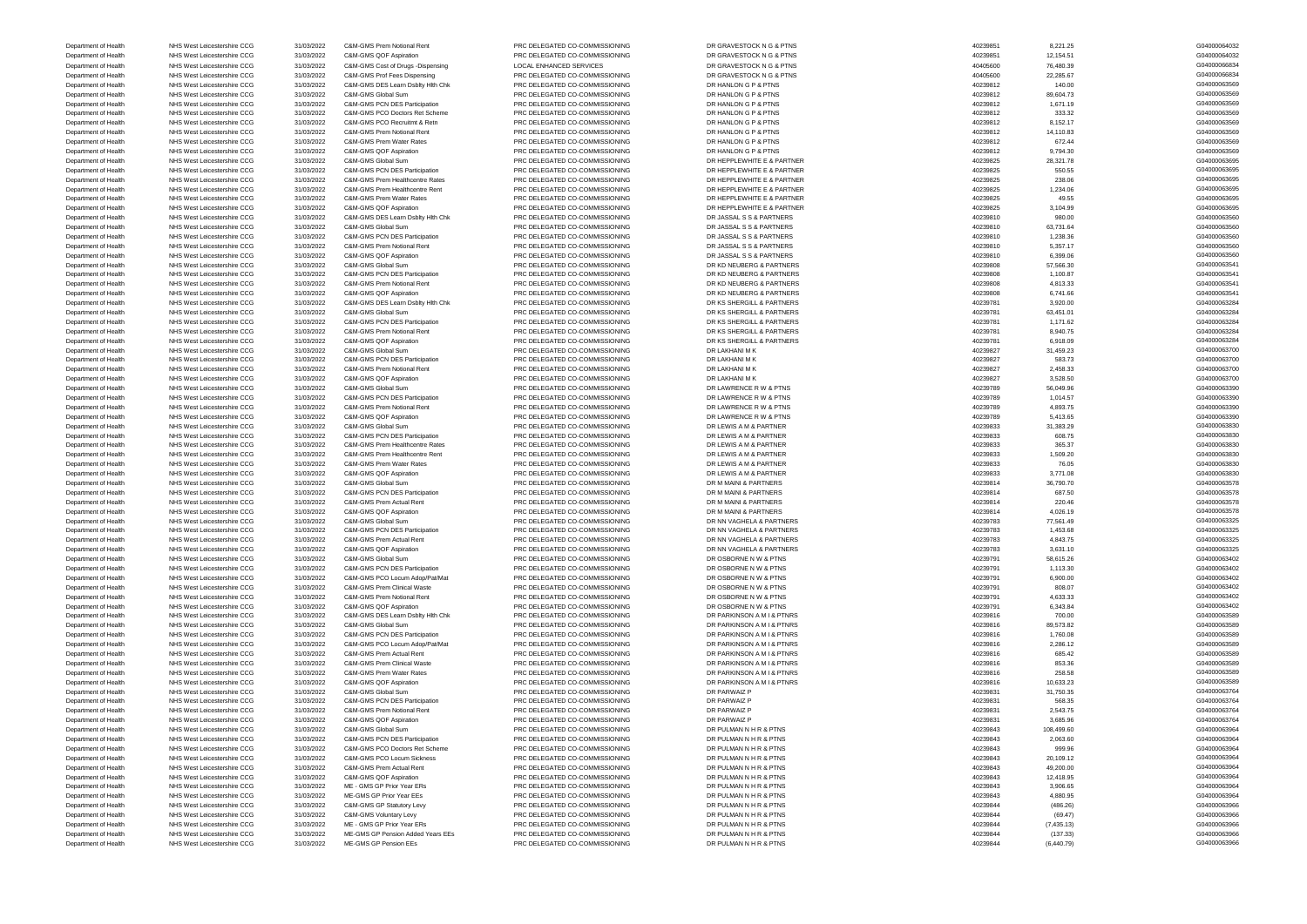Department of Health NHS West Leicestershire CCG 31/03/2022 ME-GMS GP Pension EEs PRC DELEGATED CO-COMMISSIONING DR PULMAN N H R & PTNS 40239844 40239844 (6,440.79) (6,440.79) G04000063966

Department of Health NHS West Leicestershire CCG 31/03/2022 C&M-GMS Prem Notional Rent PRC DELEGATED CO-COMMISSIONING DR GRAVESTOCK N G & PTNS 40239851 8,221.25 8/239851 8,221.25 604000064032 Department of Health NHS West Leicestershire CCG 31/03/2022 C&M-GMS QOF Aspiration PRC DELEGATED CO-COMMISSIONING DR GRAVESTOCK N G & PTNS 40239851 12,154.51 12,154.51 504000064032<br>Department of Health NHS West Leicestersh Department of Health NHS West Leicestershire CCG 31/03/2022 C&M-GMS Cost of Drugs -Dispensing LOCAL ENHANCED SERVICES DR GRAVESTOCK N G & PTNS 40405600 76,480.39 40405600 76,480.39 G04000066834 Department of Health NHS West Leicestershire CCG 31/03/2022 C&M-GMS Prof Fees Dispensing PRC DELEGATED CO-COMMISSIONING DR GRAVESTOCK N G & PTNS 40405600 22,285.67 40405600 22,285.67 G04000066834 Department of Health NHS West Leicestershire CCG 31/03/2022 C&M-GMS DES Learn Dsblty Hlth Chk PRC DELEGATED CO-COMMISSIONING DR HANLON G P & PTNS 40239812 140.00 40239812 140.00 140.00 G04000063569 Department of Health NHS West Leicestershire CCG 31/03/2022 C&M-GMS Global Sum PRC DELEGATED CO-COMMISSIONING DR HANLON G P & PTNS 40239812 89,604.73 89,604.73 89,604.73 G04000063569 Department of Health NHS West Leicestershire CCG 31/03/2022 C&M-GMS PCN DES Participation PRC DELEGATED CO-COMMISSIONING DR HANLON G P & PTNS 40239812 40239812 1,671.19 1,671.19 604000063569 Department of Health NHS West Leicestershire CCG 31/03/2022 C&M-GMS PCO Doctors Ret Scheme PRC DELEGATED CO-COMMISSIONING DR HANLON G P & PTNS 40239812 40239812 333.32 333.32 333.32 5604000063569 Department of Health NHS West Leicestershire CCG 31/03/2022 C&M-GMS PCO Recruitmt & Retn PRC DELEGATED CO-COMMISSIONING DR HANLON G P & PTNS 40239812 8,152.17 8,552.17 8,152.17 604000063569 Department of Health NHS West Leicestershire CCG 31/03/2022 C&M-GMS Prem Notional Rent PRC DELEGATED CO-COMMISSIONING DR HANLON G P & PTNS 40239812 40239812 14,110.83 14,110.83 G04000063569 Department of Health NHS West Leicestershire CCG 31/03/2022 C&M-GMS Prem Water Rates PRC DELEGATED CO-COMMISSIONING DR HANLON G P & PTNS 40239812 6672.44 672.44 672.44 672.44 G04000063569 Department of Health NHS West Leicestershire CCG 31/03/2022 C&M-GMS QOF Aspiration PRC DELEGATED CO-COMMISSIONING DR HANLON G P & PTNS 40239812 9,794.30 9,794.30 9,794.30 Department of Health NHS West Leicestershire CCG 31/03/2022 C&M-GMS Global Sum PRC DELEGATED CO-COMMISSIONING DR HEPPLEWHITE E & PARTNER 40239825 28,321.78 40239825 28,321.78 G04000063695 Department of Health NHS West Leicestershire CCG 31/03/2022 C&M-GMS PCN DES Participation PRC DELEGATED CO-COMMISSIONING DR HEPPLEWHITE E & PARTNER 40239825 550.55 G04000063695 Department of Health NHS West Leicestershire CCG 31/03/2022 C&M-GMS Prem Healthcentre Rates PRC DELEGATED CO-COMMISSIONING DR HEPPLEWHITE E & PARTNER 40239825 40239825 238.06 238.06 238.06 238.06 238.06 238.06 504000063695 Department of Health NHS West Leicestershire CCG 31/03/2022 C&M-GMS Prem Healthcentre Rent PRC DELEGATED CO-COMMISSIONING DR HEPPLEWHITE E & PARTNER 40239825 40239825 1,234.06 40239825 1,234.06 604000063695 Department of Health NHS West Leicestershire CCG 31/03/2022 C&M-GMS Prem Water Rates PRC DELEGATED CO-COMMISSIONING DR HEPPLEWHITE E & PARTNER 40239825 49.55 49.55 49.55 49.99825 49.99825 49.99825 49.99825 49.99825 49.9982 Department of Health NHS West Leicestershire CCG 31/03/2022 C&M-GMS QOF Aspiration PRC DELEGATED CO-COMMISSIONING DR HEPPLEWHITE E & PARTNER 40239825 40239825 3,104.99 3,104.99 G04000063695 Department of Health NHS West Leicestershire CCG 31/03/2022 C&M-GMS DES Learn Dsblty Hlth Chk PRC DELEGATED CO-COMMISSIONING DR JASSAL S S & PARTNERS 40239810 40239810 980.00 980.00 980.00 980.00 980.00 980.00 980.00 980.0 Department of Health NHS West Leicestershire CCG 31/03/2022 C&M-GMS Global Sum PRC DELEGATED CO-COMMISSIONING DR JASSAL S S & PARTNERS 40239810 63,731.64 63,731.64 639,731.64 604000063560 Department of Health NHS West Leicestershire CCG 31/03/2022 C&M-GMS PCN DES Participation PRC DELEGATED CO-COMMISSIONING DR JASSAL S S & PARTNERS 40239810 40239810 1,238.36 4021 1,238.36 604000063560 Department of Health NHS West Leicestershire CCG 31/03/2022 C&M-GMS Prem Notional Rent PRC DELEGATED CO-COMMISSIONING DR JASSAL S S & PARTNERS 40239810 40239810 5,357.17 6604000063560 Department of Health NHS West Leicestershire CCG 31/03/2022 C&M-GMS QOF Aspiration PRC DELEGATED CO-COMMISSIONING DR JASSAL S S & PARTNERS 40239810 6,399.06 6,399.06 6,399.06 6,399.06 6,40000063560 Department of Health NHS West Leicestershire CCG 31/03/2022 C&M-GMS Global Sum PRC DELEGATED CO-COMMISSIONING DR KD NEUBERG & PARTNERS 40239808 57,566.30 57,566.30 57,566.30 G04000063541 Department of Health NHS West Leicestershire CCG 31/03/2022 C&M-GMS PCN DES Participation PRC DELEGATED CO-COMMISSIONING DR KD NEUBERG & PARTNERS 40239808 40239808 1,100.87 40239808 1,100.87 604000063541 Department of Health NHS West Leicestershire CCG 31/03/2022 C&M-GMS Prem Notional Rent PRC DELEGATED CO-COMMISSIONING DR KD NEUBERG & PARTNERS 40239808 4,813.33 40239808 4,813.33 40239808 4,813.33 56604000063541 Department of Health NHS West Leicestershire CCG 31/03/2022 C&M-GMS QOF Aspiration PRC DELEGATED CO-COMMISSIONING DR KD NEUBERG & PARTNERS 40239808 6,741.66 66 6741.66 694000063541 Department of Health NHS West Leicestershire CCG 31/03/2022 C&M-GMS DES Learn Dsblty Hlth Chk PRC DELEGATED CO-COMMISSIONING DR KS SHERGILL & PARTNERS 40239781 40239781 3,920.00 4039781 3,920.00 604000063284 Department of Health NHS West Leicestershire CCG 31/03/2022 C&M-GMS Global Sum PRC DELEGATED CO-COMMISSIONING DR KS SHERGILL & PARTNERS 40239781 63,451.01 63,451.01 63,451.01 604000063284 Department of Health NHS West Leicestershire CCG 31/03/2022 C&M-GMS PCN DES Participation PRC DELEGATED CO-COMMISSIONING DR KS SHERGILL & PARTNERS 40239781 40239781 40239781 1,171.62 504000063284 Department of Health NHS West Leicestershire CCG 31/03/2022 C&M-GMS Prem Notional Rent PRC DELEGATED CO-COMMISSIONING DR KS SHERGILL & PARTNERS 40239781 40239781 8,940.75 40239781 8,940.75 604000063284 Department of Health NHS West Leicestershire CCG 31/03/2022 C&M-GMS QOF Aspiration PRC DELEGATED CO-COMMISSIONING DR KS SHERGILL & PARTNERS 40239781 40239781 6,918.09 6,918.09 604000063284 Department of Health NHS West Leicestershire CCG 31/03/2022 C&M-GMS Global Sum PRC DELEGATED CO-COMMISSIONING DR LAKHANI M K 40239827 31,459.23 31,459.23 504000063700 Department of Health NHS West Leicestershire CCG 31/03/2022 C&M-GMS PCN DES Participation PRC DELEGATED CO-COMMISSIONING DR LAKHANI M K 40239827 40239827 583.73 583.73 583.73 583.73 593.73 594000063700 Department of Health NHS West Leicestershire CCG 31/03/2022 C&M-GMS Prem Notional Rent PRC DELEGATED CO-COMMISSIONING DR LAKHANI M K 40239827 40239827 2,458.33 40239827 2,458.33 604000063700 Department of Health NHS West Leicestershire CCG 31/03/2022 C&M-GMS QOF Aspiration PRC DELEGATED CO-COMMISSIONING DR LAKHANI M K 40239827 40239827 3,528.50 40239827 3,528.50 504000063700 Department of Health NHS West Leicestershire CCG 31/03/2022 C&M-GMS Global Sum PRC DELEGATED CO-COMMISSIONING DR LAWRENCE R W & PTNS 40239789 56,049.96 56,049.96 56,049.96 56,049.96 56,049.96 56,049.96 56,049.96 56,049.96 Department of Health NHS West Leicestershire CCG 31/03/2022 C&M-GMS PCN DES Participation PRC DELEGATED CO-COMMISSIONING DR LAWRENCE R W & PTNS 40239789 1,014.57 40239789 1,014.57 604000063390 Department of Health NHS West Leicestershire CCG 31/03/2022 C&M-GMS Prem Notional Rent PRC DELEGATED CO-COMMISSIONING DR LAWRENCE R W & PTNS 40239789 4,893.75 40239789 4,893.75 604000063390 Department of Health NHS West Leicestershire CCG 31/03/2022 C&M-GMS QOF Aspiration PRC DELEGATED CO-COMMISSIONING DR LAWRENCE R W & PTNS 40239789 5,413.65 5,413.65 5,413.65 604000063390 Department of Health NHS West Leicestershire CCG 31/03/2022 C&M-GMS Global Sum PRC DELEGATED CO-COMMISSIONING DR LEWIS A M & PARTNER 40239833 31,383.29 31,383.29 31,383.29 504000063830 Department of Health NHS West Leicestershire CCG 31/03/2022 C&M-GMS PCN DES Participation PRC DELEGATED CO-COMMISSIONING DR LEWIS A M & PARTNER 40239833 608.75 608.75 608.75 608.79 609000063830 Department of Health NHS West Leicestershire CCG 31/03/2022 C&M-GMS Prem Healthcentre Rates PRC DELEGATED CO-COMMISSIONING DR LEWIS A M & PARTNER 40239833 465.37 365.37 365.37 G04000063830 Department of Health NHS West Leicestershire CCG 31/03/2022 C&M-GMS Prem Healthcentre Rent PRC DELEGATED CO-COMMISSIONING DR LEWIS A M & PARTNER 40239833 40239833 1,509.20 40239833 1,509.20 504000063830 Department of Health NHS West Leicestershire CCG 31/03/2022 C&M-GMS Prem Water Rates PRC DELEGATED CO-COMMISSIONING DR LEWIS A M & PARTNER 40239833 40239833 76.05 76.05 604000063830 Department of Health NHS West Leicestershire CCG 31/03/2022 C&M-GMS QOF Aspiration PRC DELEGATED CO-COMMISSIONING DR LEWIS A M & PARTNER 40239833 40239833 3,771.08 40239833 3,771.08 604000063830 Department of Health NHS West Leicestershire CCG 31/03/2022 C&M-GMS Global Sum PRC DELEGATED CO-COMMISSIONING DR M MAINI & PARTNERS 40239814 36,790.70 40239814 36,790.70 604000063578 Department of Health NHS West Leicestershire CCG 31/03/2022 C&M-GMS PCN DES Participation PRC DELEGATED CO-COMMISSIONING DR M MAINI & PARTNERS 40239814 687.50 687.50 687.50 694000063578 Department of Health NHS West Leicestershire CCG 31/03/2022 C&M-GMS Prem Actual Rent PRC DELEGATED CO-COMMISSIONING DR M MAINI & PARTNERS 40239814 40239814 220.46 220.46 220.46 G04000063578 Department of Health NHS West Leicestershire CCG 31/03/2022 C&M-GMS QOF Aspiration PRC DELEGATED CO-COMMISSIONING DR M MAINI & PARTNERS 40239814 40239814 4,026.19 40239814 4,026.19 504000063578 G04000063578 G04000063578<br>De Department of Health NHS West Leicestershire CCG 31/03/2022 C&M-GMS Global Sum PRC DELEGATED CO-COMMISSIONING DR NN VAGHELA & PARTNERS 40239783 Department of Health NHS West Leicestershire CCG 31/03/2022 C&M-GMS PCN DES Participation PRC DELEGATED CO-COMMISSIONING DR NN VAGHELA & PARTNERS 40239783 40239783 1,453.68 1,453.68 504000063325 Department of Health NHS West Leicestershire CCG 31/03/2022 C&M-GMS Prem Actual Rent PRC DELEGATED CO-COMMISSIONING DR NN VAGHELA & PARTNERS 40239783 4,843.75 4,843.75 4,843.75 604000063325 Department of Health NHS West Leicestershire CCG 31/03/2022 C&M-GMS QOF Aspiration PRC DELEGATED CO-COMMISSIONING DR NN VAGHELA & PARTNERS 40239783 40239783 3,631.10 40239783 3,631.10 G04000063325 Department of Health NHS West Leicestershire CCG 31/03/2022 C&M-GMS Global Sum PRC DELEGATED CO-COMMISSIONING DR OSBORNE N W & PTNS 40239791 40239791 58,615.26 58615.26 604000063402 Department of Health NHS West Leicestershire CCG 31/03/2022 C&M-GMS PCN DES Participation PRC DELEGATED CO-COMMISSIONING DR OSBORNE N W & PTNS 40239791 40239791 1,113.30 40239791 1,113.30 504000063402 Department of Health NHS West Leicestershire CCG 31/03/2022 C&M-GMS PCO Locum Adop/Pat/Mat PRC DELEGATED CO-COMMISSIONING DR OSBORNE N W & PTNS 40239791 40239791 6,900.00 604000063402 Department of Health NHS West Leicestershire CCG 31/03/2022 C&M-GMS Prem Clinical Waste PRC DELEGATED CO-COMMISSIONING DR OSBORNE N W & PTNS 40239791 808.07 808.07 808.07 808.07 604000063402 Department of Health NHS West Leicestershire CCG 31/03/2022 C&M-GMS Prem Notional Rent PRC DELEGATED CO-COMMISSIONING DR OSBORNE N W & PTNS 40239791 40239791 4,633.33 40239791 4,633.33 6604000063402 Department of Health NHS West Leicestershire CCG 31/03/2022 C&M-GMS QOF Aspiration PRC DELEGATED CO-COMMISSIONING DR OSBORNE N W & PTNS 40239791 40239791 6,343.84 604000063402 Department of Health NHS West Leicestershire CCG 31/03/2022 C&M-GMS DES Learn Dsblty Hlth Chk PRC DELEGATED CO-COMMISSIONING DR PARKINSON A M I & PTNRS 40239816 700.00 700.00 700.00 604000063589 Department of Health NHS West Leicestershire CCG 31/03/2022 C&M-GMS Global Sum PRC DELEGATED CO-COMMISSIONING DR PARKINSON A M I & PTNRS 40239816 89,573.82 40239816 89,573.82 G04000063589 Department of Health NHS West Leicestershire CCG 31/03/2022 C&M-GMS PCN DES Participation PRC DELEGATED CO-COMMISSIONING DR PARKINSON A M I & PTNRS 40239816 40239816 1,760.08 1,760.08 604000063589 Department of Health NHS West Leicestershire CCG 31/03/2022 C&M-GMS PCO Locum Adop/Pat/Mat PRC DELEGATED CO-COMMISSIONING DR PARKINSON A M I & PTNRS 40239816 40239816 2,286.12 40239816 2,286.12 Department of Health NHS West Leicestershire CCG 31/03/2022 C&M-GMS Prem Actual Rent PRC DELEGATED CO-COMMISSIONING DR PARKINSON A M I & PTNRS 40239816 40239816 685.42 669000063589 Department of Health NHS West Leicestershire CCG 31/03/2022 C&M-GMS Prem Clinical Waste PRC DELEGATED CO-COMMISSIONING DR PARKINSON A M I & PTNRS 40239816 853.36 853.36 853.36 853.36 864000063589 Department of Health NHS West Leicestershire CCG 31/03/2022 C&M-GMS Prem Water Rates PRC DELEGATED CO-COMMISSIONING DR PARKINSON A M I & PTNRS 40239816 40239816 258.58 258.58 C04000063589 Department of Health NHS West Leicestershire CCG 31/03/2022 C&M-GMS QOF Aspiration PRC DELEGATED CO-COMMISSIONING DR PARKINSON A M I & PTNRS 40239816 40239816 10,633.23 40239816 10,633.23 604000063589 Department of Health NHS West Leicestershire CCG 31/03/2022 C&M-GMS Global Sum PRC DELEGATED CO-COMMISSIONING DR PARWAIZ P 40239831 31,750.35 31,750.35 604000063764 Department of Health NHS West Leicestershire CCG 31/03/2022 C&M-GMS PCN DES Participation PRC DELEGATED CO-COMMISSIONING DR PARWAIZ P 40239831 40239831 568.35 568.35 568.35 568.35 568.35 568.35 568.35 568.35 568.35 568.35 Department of Health NHS West Leicestershire CCG 31/03/2022 C&M-GMS Prem Notional Rent PRC DELEGATED CO-COMMISSIONING DR PARWAIZ P 40239831 40239831 2,543.75 6364000063764 Department of Health NHS West Leicestershire CCG 31/03/2022 C&M-GMS QOF Aspiration PRC DELEGATED CO-COMMISSIONING DR PARWAIZ P 40239831 40239831 3,685.96 40239831 3,685.96 504000063764 Department of Health NHS West Leicestershire CCG 31/03/2022 C&M-GMS Global Sum PRC DELEGATED CO-COMMISSIONING DR PULMAN N H R & PTNS 40239843 40239843 108,499.60 108,499.60 604000063964 Department of Health NHS West Leicestershire CCG 31/03/2022 C&M-GMS PCN DES Participation PRC DELEGATED CO-COMMISSIONING DR PULMAN N H R & PTNS 40239843 40239843 2,063.60 40239843 2,063.60 604000063964 Department of Health NHS West Leicestershire CCG 31/03/2022 C&M-GMS PCO Doctors Ret Scheme PRC DELEGATED CO-COMMISSIONING DR PULMAN N H R & PTNS 40239843 999.96 999.96 999.96 G04000063964 Department of Health NHS West Leicestershire CCG 31/03/2022 C&M-GMS PCO Locum Sickness PRC DELEGATED CO-COMMISSIONING DR PULMAN N H R & PTNS 40239843 40239843 20,109.12 20,109.12 G04000063964 Department of Health NHS West Leicestershire CCG 31/03/2022 C&M-GMS Prem Actual Rent PRC DELEGATED CO-COMMISSIONING DR PULMAN N H R & PTNS 40239843 49,200.00 40239843 49,200.00 40239843 49,200.00 604000063964 Department of Health NHS West Leicestershire CCG 31/03/2022 C&M-GMS QOF Aspiration PRC DELEGATED CO-COMMISSIONING DR PULMAN N H R & PTNS 40239843 40239843 12,418.95 12,418.95 604000063964 Department of Health NHS West Leicestershire CCG 31/03/2022 ME - GMS GP Prior Year ERs PRC DELEGATED CO-COMMISSIONING DR PULMAN N H R & PTNS 40239843 40239843 3,906.65 306.65 604000063964 Department of Health NHS West Leicestershire CCG 31/03/2022 ME-GMS GP Prior Year EEs PRC DELEGATED CO-COMMISSIONING DR PULMAN N H R & PTNS 40239843 4,880.95 4,880.95 4,880.95 4,880.95 4,880.95 4,880.95 4,880.95 4,880.95 4, Department of Health NHS West Leicestershire CCG 31/03/2022 C&M-GMS GP Statutory Levy PRC DELEGATED CO-COMMISSIONING DR PULMAN N H R & PTNS 40239844 40239844 (486.26) 40363966 Department of Health NHS West Leicestershire CCG 31/03/2022 C&M-GMS Voluntary Levy PRC DELEGATED CO-COMMISSIONING DR PULMAN N H R & PTNS 40239844 40239844 (69.47) (69.47) G04000063966 Department of Health NHS West Leicestershire CCG 31/03/2022 ME - GMS GP Prior Year ERs PRC DELEGATED CO-COMMISSIONING DR PULMAN N H R & PTNS 40239844 40239844 (7,435.13) G04000063966 Department of Health NHS West Leicestershire CCG 31/03/2022 ME-GMS GP Pension Added Years EEs PRC DELEGATED CO-COMMISSIONING DR PULMAN N H R & PTNS 40239844 40239844 (137.33) 40239844 (137.33) 604000063966

| 8,221.2            |
|--------------------|
|                    |
| 12,154.5           |
| 76,480.3           |
| 22,285.6           |
|                    |
| 140.0              |
| 89,604.73          |
| 1,671.19           |
| 333.32             |
|                    |
| 8,152.1            |
| 14,110.8           |
| 672.4              |
|                    |
| 9,794.3            |
| 28,321.78          |
| 550.5              |
|                    |
| 238.0              |
| 1,234.0            |
| 49.5               |
| 3,104.9            |
|                    |
| 980.0              |
| 63,731.6           |
| 1,238.3            |
|                    |
| 5,357.1            |
| 6,399.0            |
| 57,566.3           |
| 1,100.8            |
|                    |
| 4,813.3            |
| 6,741.6            |
| 3,920.0            |
|                    |
| 63,451.0           |
| 1,171.62           |
| 8,940.7            |
| 6,918.0            |
|                    |
| 31,459.2           |
| 583.7              |
| 2,458.3            |
|                    |
| 3,528.5            |
| 56,049.9           |
| 1,014.5            |
| 4,893.7            |
|                    |
| 5,413.6            |
| 31,383.2           |
| 608.7              |
|                    |
| 365.3              |
| 1,509.2            |
| 76.0               |
| 3,771.08           |
|                    |
| 36,790.7           |
| 687.5              |
| 220.4              |
|                    |
| 4,026.19           |
| 7,561.4<br>7       |
| ,453.68<br>1       |
| 4,843.7            |
|                    |
| 3,631.10           |
| 58,615.2           |
| 1,113.3            |
|                    |
| 6,900.0            |
| 808.0              |
|                    |
| 4,633.3            |
| 6,343.8            |
|                    |
| 700.0              |
| 89,573.82          |
| 1,760.08           |
|                    |
| 2,286.12           |
| 685.42             |
| 853.3              |
| 258.5              |
|                    |
| 10,633.23          |
| 31,750.3           |
| 568.3              |
| 2,543.7            |
|                    |
| 3,685.9            |
| 108,499.6          |
| 2,063.6            |
|                    |
| 999.91             |
| 20,109.12          |
| 49,200.0           |
| 12,418.9           |
|                    |
| 3,906.6            |
| 4,880.9            |
| (486.26)           |
| (69.47)            |
|                    |
| (7, 435.13)        |
| (137.33)<br>440.70 |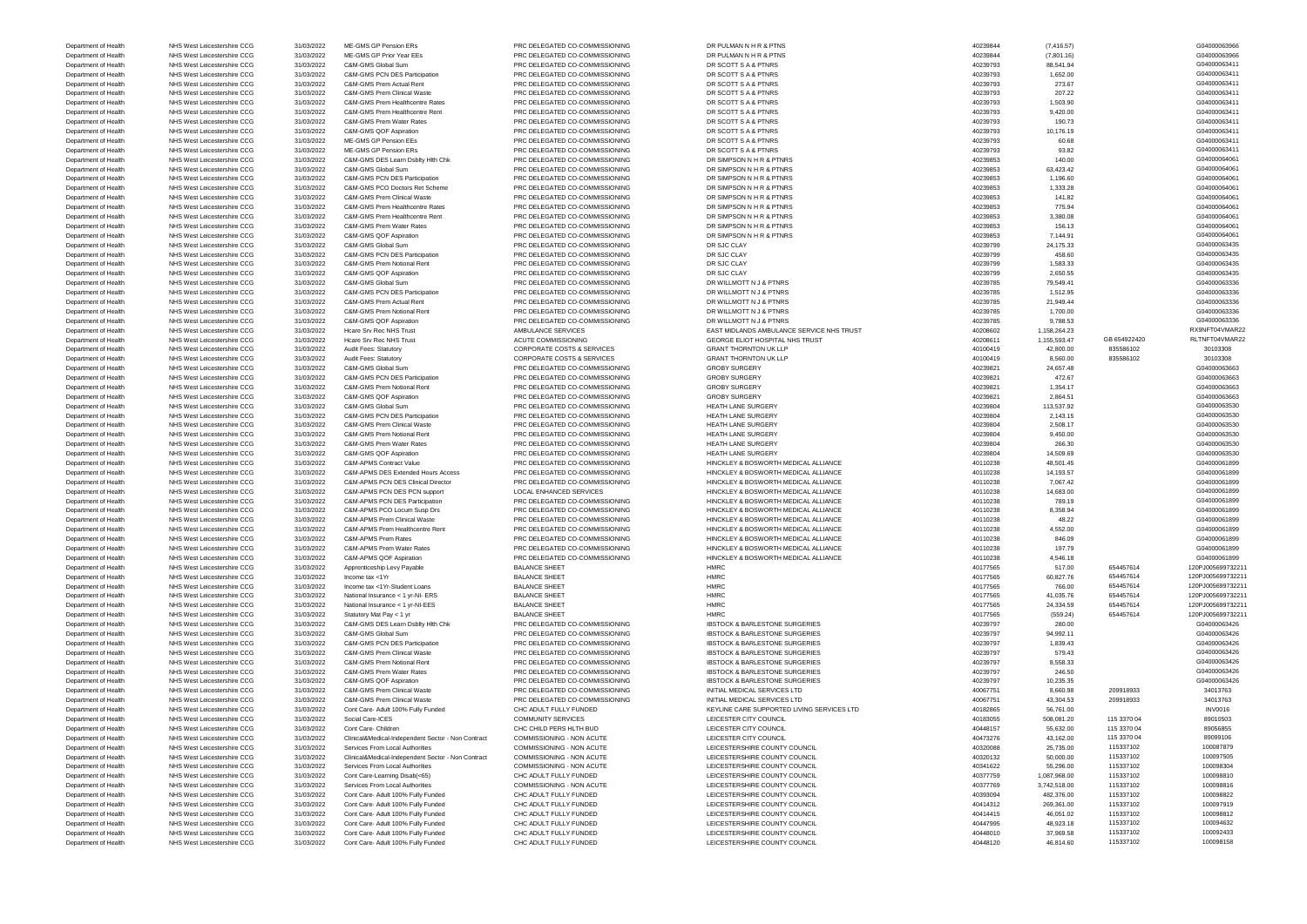Department of Health NHS West Leicestershire CCG 31/03/2022 Cont Care- Adult 100% Fully Funded CHC ADULT FULLY FUNDED LEICESTERSHIRE COUNTY COUNCIL 46,814.60 46,814.60 115337102 100098158

Department of Health NHS West Leicestershire CCG 31/03/2022 ME-GMS GP Pension ERs PRC DELEGATED CO-COMMISSIONING DR PULMAN N H R & PTNS 40239844 40239844 (7,416.57) 40339844 (7,416.57) G04000063966

Department of Health NHS West Leicestershire CCG 31/03/2022 ME-GMS GP Prior Year EEs PRC DELEGATED CO-COMMISSIONING DR PULMAN N H R & PTNS 40239844 40239844 (7,801.16) (7,801.16) G04000063966 Department of Health NHS West Leicestershire CCG 31/03/2022 C&M-GMS Global Sum PRC DELEGATED CO-COMMISSIONING DR SCOTT S A & PTNRS 40239793 88,541.94 88,541.94 88,541.94 G04000063411 Department of Health NHS West Leicestershire CCG 31/03/2022 C&M-GMS PCN DES Participation PRC DELEGATED CO-COMMISSIONING DR SCOTT S A & PTNRS 40239793 40239793 1,652.00 40239793 1,652.00 604000063411 Department of Health NHS West Leicestershire CCG 31/03/2022 C&M-GMS Prem Actual Rent PRC DELEGATED CO-COMMISSIONING DR SCOTT S A & PTNRS 40239793 40239793 273.67 273.67 604000063411 Department of Health NHS West Leicestershire CCG 31/03/2022 C&M-GMS Prem Clinical Waste PRC DELEGATED CO-COMMISSIONING DR SCOTT S A & PTNRS 40239793 40239793 207.22 207.22 504000063411 Department of Health NHS West Leicestershire CCG 31/03/2022 C&M-GMS Prem Healthcentre Rates PRC DELEGATED CO-COMMISSIONING DR SCOTT S A & PTNRS 40239793 40239793 1,503.90 1,503.90 504000063411 Department of Health NHS West Leicestershire CCG 31/03/2022 C&M-GMS Prem Healthcentre Rent PRC DELEGATED CO-COMMISSIONING DR SCOTT S A & PTNRS 40239793 40239793 9,420.00 9,420.00 9,420.00 604000063411 Department of Health NHS West Leicestershire CCG 31/03/2022 C&M-GMS Prem Water Rates PRC DELEGATED CO-COMMISSIONING DR SCOTT S A & PTNRS 40239793 40239793 190.73 190.73 190.73 190.73 190.79 190.79 190.79 190.79 190.79 190. Department of Health NHS West Leicestershire CCG 31/03/2022 C&M-GMS QOF Aspiration PRC DELEGATED CO-COMMISSIONING DR SCOTT S A & PTNRS 40219793 40239793 10,176.19 10,176.19 604000063411 Department of Health NHS West Leicestershire CCG 31/03/2022 ME-GMS GP Pension EEs PRC DELEGATED CO-COMMISSIONING DR SCOTT S A & PTNRS 40239793 40239793 60.68 60.68 60.68 60.4000063411 Department of Health NHS West Leicestershire CCG 31/03/2022 ME-GMS GP Pension ERs PRC DELEGATED CO-COMMISSIONING DR SCOTT S A & PTNRS 40239793 40239793 93.82 93.82 G04000063411 Department of Health NHS West Leicestershire CCG 31/03/2022 C&M-GMS DES Learn Dsblty Hlth Chk PRC DELEGATED CO-COMMISSIONING DR SIMPSON N H R & PTNRS 40239853 140.00 40239853 140.00 G04000064061 Department of Health NHS West Leicestershire CCG 31/03/2022 C&M-GMS Global Sum PRC DELEGATED CO-COMMISSIONING DR SIMPSON N H R & PTNRS 40239853 63,423.42 63423.42 63423.42 63000064061 Department of Health NHS West Leicestershire CCG 31/03/2022 C&M-GMS PCN DES Participation PRC DELEGATED CO-COMMISSIONING DR SIMPSON N H R & PTNRS 40239853 40239853 1,196.60 1,196.60 504000064061 Department of Health NHS West Leicestershire CCG 31/03/2022 C&M-GMS PCO Doctors Ret Scheme PRC DELEGATED CO-COMMISSIONING DR SIMPSON N H R & PTNRS 40239853 4,333.28 1,333.28 1,333.28 504000064061 Department of Health NHS West Leicestershire CCG 31/03/2022 C&M-GMS Prem Clinical Waste PRC DELEGATED CO-COMMISSIONING DR SIMPSON N H R & PTNRS 40239853 141.82 14039853 141.82 G04000064061 Department of Health NHS West Leicestershire CCG 31/03/2022 C&M-GMS Prem Healthcentre Rates PRC DELEGATED CO-COMMISSIONING DR SIMPSON N H R & PTNRS 40239853 40239853 775.94 775.94 G04000064061 Department of Health NHS West Leicestershire CCG 31/03/2022 C&M-GMS Prem Healthcentre Rent PRC DELEGATED CO-COMMISSIONING DR SIMPSON N H R & PTNRS 40239853 40239853 3,380.08 3,380.08 504000064061 Department of Health NHS West Leicestershire CCG 31/03/2022 C&M-GMS Prem Water Rates PRC DELEGATED CO-COMMISSIONING DR SIMPSON N H R & PTNRS 40239853 156.13 156.13 156.13 604000064061 Department of Health NHS West Leicestershire CCG 31/03/2022 C&M-GMS QOF Aspiration PRC DELEGATED CO-COMMISSIONING DR SIMPSON N H R & PTNRS 40239853 7,144.91 40239853 7,144.91 G04000064061 Department of Health NHS West Leicestershire CCG 31/03/2022 C&M-GMS Global Sum PRC DELEGATED CO-COMMISSIONING DR SJC CLAY 40239799 24,175.33 24,175.33 G04000063435 Department of Health NHS West Leicestershire CCG 31/03/2022 C&M-GMS PCN DES Participation PRC DELEGATED CO-COMMISSIONING DR SJC CLAY 40239799 458.60 40239799 458.60 458.60 604000063435 Department of Health NHS West Leicestershire CCG 31/03/2022 C&M-GMS Prem Notional Rent PRC DELEGATED CO-COMMISSIONING DR SJC CLAY 40239799 40239799 1,583.33 6604000063435 Department of Health NHS West Leicestershire CCG 31/03/2022 C&M-GMS QOF Aspiration PRC DELEGATED CO-COMMISSIONING DR SJC CLAY 40239799 40239799 2,650.55 40239799 2,650.55 604000063435 Department of Health NHS West Leicestershire CCG 31/03/2022 C&M-GMS Global Sum PRC DELEGATED CO-COMMISSIONING DR WILLMOTT N J & PTNRS 40239785 79,549.41 40239785 79,549.41 G0400006336 Department of Health NHS West Leicestershire CCG 31/03/2022 C&M-GMS PCN DES Participation PRC DELEGATED CO-COMMISSIONING DR WILLMOTT N J & PTNRS 40239785 40239785 1,512.95 1,512.95 604000063336 Department of Health NHS West Leicestershire CCG 31/03/2022 C&M-GMS Prem Actual Rent PRC DELEGATED CO-COMMISSIONING DR WILLMOTT N J & PTNRS 40239785 21,949.44 40239785 21,949.44 G04000063336 Department of Health NHS West Leicestershire CCG 31/03/2022 C&M-GMS Prem Notional Rent PRC DELEGATED CO-COMMISSIONING DR WILLMOTT N J & PTNRS 40239785 40239785 1,700.00 40239785 1,700.00 Department of Health NHS West Leicestershire CCG 31/03/2022 C&M-GMS QOF Aspiration PRC DELEGATED CO-COMMISSIONING DR WILLMOTT N J & PTNRS 40239785 9,788.53 9,788.53 9,788.53 9,788.53 9,788.53 9,788.53 9,788.53 9,788.53 9,7 Department of Health NHS West Leicestershire CCG 31/03/2022 Hcare Srv Rec NHS Trust AMBULANCE SERVICES EAST MIDLANDS AMBULANCE SERVICE NHS TRUST 40208602 1,158,264.23 1,158,264.23 RX9NFT04VMAR22 Department of Health NHS West Leicestershire CCG 31/03/2022 Hcare Srv Rec NHS Trust ACUTE COMMISSIONING GEORGE ELIOT HOSPITAL NHS TRUST 40208611 40208611 1,155,593.47 GB 654922420 RLTNFT04VMAR22 Department of Health NHS West Leicestershire CCG 31/03/2022 Audit Fees: Statutory CORPORATE COSTS & SERVICES GRANT THORNTON UK LLP 40100419 42,800.00 835586102 30103308 Department of Health NHS West Leicestershire CCG 31/03/2022 Audit Fees: Statutory CORPORATE COSTS & SERVICES GRANT THORNTON UK LLP 40100419 40100419 8,560.00 835586102 30103308 Department of Health NHS West Leicestershire CCG 31/03/2022 C&M-GMS Global Sum PRC DELEGATED CO-COMMISSIONING GROBY SURGERY GROBY SURGERY 40239821 24,657.48 40239821 24,657.48 G04000063663 Department of Health NHS West Leicestershire CCG 31/03/2022 C&M-GMS PCN DES Participation PRC DELEGATED CO-COMMISSIONING GROBY SURGERY GROBY SURGERY 40239821 40239821 472.67 472.67 604000063663 Department of Health NHS West Leicestershire CCG 31/03/2022 C&M-GMS Prem Notional Rent PRC DELEGATED CO-COMMISSIONING GROBY SURGERY A SALLEGATED ADDISSERT A SALLEGATED AND A SALLEGATED A SALLEGATED A SALLEGATED CO-COMMISSI Department of Health NHS West Leicestershire CCG 31/03/2022 C&M-GMS QOF Aspiration PRC DELEGATED CO-COMMISSIONING GROBY SURGERY GROBY SURGERY 40239821 40239821 2,864.51 2,864.51 G04000063663 Department of Health NHS West Leicestershire CCG 31/03/2022 C&M-GMS Global Sum PRC DELEGATED CO-COMMISSIONING HEATH LANE SURGERY 40239804 40239804 113,537.92 604000063530 Department of Health NHS West Leicestershire CCG 31/03/2022 C&M-GMS PCN DES Participation PRC DELEGATED CO-COMMISSIONING HEATH LANE SURGERY 40239804 40239804 2,143.15 40239804 2,143.15 Department of Health NHS West Leicestershire CCG 31/03/2022 C&M-GMS Prem Clinical Waste PRC DELEGATED CO-COMMISSIONING HEATH LANE SURGERY 40239804 40239804 2,508.17 40239804 2,508.17 604000063530 Department of Health NHS West Leicestershire CCG 31/03/2022 C&M-GMS Prem Notional Rent PRC DELEGATED CO-COMMISSIONING HEATH LANE SURGERY 40239804 40239804 9,450.00 9,450.00 9,450.00 G04000063530 Department of Health NHS West Leicestershire CCG 31/03/2022 C&M-GMS Prem Water Rates PRC DELEGATED CO-COMMISSIONING HEATH LANE SURGERY 40239804 40239804 266.30 40239804 266.30 G04000063530 Department of Health NHS West Leicestershire CCG 31/03/2022 C&M-GMS QOF Aspiration PRC DELEGATED CO-COMMISSIONING HEATH LANE SURGERY 40239804 40239804 14,509.69 40339804 14,509.69 Department of Health NHS West Leicestershire CCG 31/03/2022 C&M-APMS Contract Value PRC DELEGATED CO-COMMISSIONING HINCKLEY & BOSWORTH MEDICAL ALLIANCE 40110238 48,501.45 48,501.45 48,501.45 604000061899 Department of Health NHS West Leicestershire CCG 31/03/2022 C&M-APMS DES Extended Hours Access PRC DELEGATED CO-COMMISSIONING HINCKLEY & BOSWORTH MEDICAL ALLIANCE 40110238 40110238 14,193.57 40110238 14,193.57 G04000061899 Department of Health NHS West Leicestershire CCG 31/03/2022 C&M-APMS PCN DES Clinical Director PRC DELEGATED CO-COMMISSIONING HINCKLEY & BOSWORTH MEDICAL ALLIANCE 40110238 7,067.42 40110238 7,067.42 604000061899 Department of Health NHS West Leicestershire CCG 31/03/2022 C&M-APMS PCN DES PCN support LOCAL ENHANCED SERVICES HINCKLEY & BOSWORTH MEDICAL ALLIANCE 40110238 40110238 14,683.00 1604000061899 Department of Health NHS West Leicestershire CCG 31/03/2022 C&M-APMS PCN DES Participation PRC DELEGATED CO-COMMISSIONING HINCKLEY & BOSWORTH MEDICAL ALLIANCE 40110238 789.19 789.19 789.19 789.19 604000061899 Department of Health NHS West Leicestershire CCG 31/03/2022 C&M-APMS PCO Locum Susp Drs PRC DELEGATED CO-COMMISSIONING HINCKLEY & BOSWORTH MEDICAL ALLIANCE 40110238 8,358.94 8,358.94 604000061899 Department of Health NHS West Leicestershire CCG 31/03/2022 C&M-APMS Prem Clinical Waste PRC DELEGATED CO-COMMISSIONING HINCKLEY & BOSWORTH MEDICAL ALLIANCE 40110238 48.22 40110238 48.22 604000061899 Department of Health NHS West Leicestershire CCG 31/03/2022 C&M-APMS Prem Healthcentre Rent PRC DELEGATED CO-COMMISSIONING HINCKLEY & BOSWORTH MEDICAL ALLIANCE 40110238 4,552.00 40110238 4,552.00 4,552.00 4,552.00 G0400006 Department of Health NHS West Leicestershire CCG 31/03/2022 C&M-APMS Prem Rates PRC DELEGATED CO-COMMISSIONING HINCKLEY & BOSWORTH MEDICAL ALLIANCE 40110238 40110238 846.09 846.09 604000061899 Department of Health NHS West Leicestershire CCG 31/03/2022 C&M-APMS Prem Water Rates PRC DELEGATED CO-COMMISSIONING HINCKLEY & BOSWORTH MEDICAL ALLIANCE 40110238 197.79 40110238 197.79 1986 1989 197.79 1989 1989 1989 1989 Department of Health NHS West Leicestershire CCG 31/03/2022 C&M-APMS QOF Aspiration PRC DELEGATED CO-COMMISSIONING HINCKLEY & BOSWORTH MEDICAL ALLIANCE 40110238 4,546.18 4,546.18 4,546.18 4,546.18 Department of Health NHS West Leicestershire CCG 31/03/2022 Apprenticeship Levy Payable BALANCE SHEET HMRC HMRC Apprentices and the state of the state of the state of the state of the state of the state of the state of the Department of Health NHS West Leicestershire CCG 31/03/2022 Income tax <1Yr BALANCE SHEET HMRC HMRC 40177565 60,827.76 654457614 120PJ005699732211 Department of Health NHS West Leicestershire CCG 31/03/2022 Income tax <1Yr-Student Loans BALANCE SHEET HMRC HMRC 40177565 766.00 654457614 120PJ005699732211 Department of Health NHS West Leicestershire CCG 31/03/2022 National Insurance < 1 yr-NI- ERS BALANCE SHEET HMRC HMRC 40177565 41,035.76 654457614 120PJ005699732211 Department of Health NHS West Leicestershire CCG 31/03/2022 National Insurance < 1 yr-NI-EES BALANCE SHEET HMRC HMRC 40177565 24,334.59 654457614 120PJ005699732211 Department of Health NHS West Leicestershire CCG 31/03/2022 Statutory Mat Pay < 1 yr BALANCE SHEET HMRC AMEC HMRC 40177565 (559.24) 654457614 120PJ005699732211 Department of Health NHS West Leicestershire CCG 31/03/2022 C&M-GMS DES Learn Dsblty Hlth Chk PRC DELEGATED CO-COMMISSIONING IBSTOCK & BARLESTONE SURGERIES 40239797 40239797 280.00 280.00 40239797 280.00 40239797 280.00 40 Department of Health NHS West Leicestershire CCG 31/03/2022 C&M-GMS Global Sum PRC DELEGATED CO-COMMISSIONING IBSTOCK & BARLESTONE SURGERIES 40239797 94,992.11 994,992.11 604000063426 Department of Health NHS West Leicestershire CCG 31/03/2022 C&M-GMS PCN DES Participation PRC DELEGATED CO-COMMISSIONING IBSTOCK & BARLESTONE SURGERIES 40239797 40239797 1,839.43 504000063426 Department of Health NHS West Leicestershire CCG 31/03/2022 C&M-GMS Prem Clinical Waste PRC DELEGATED CO-COMMISSIONING IBSTOCK & BARLESTONE SURGERIES 40239797 40239797 579.43 579.43 G04000063426 Department of Health NHS West Leicestershire CCG 31/03/2022 C&M-GMS Prem Notional Rent PRC DELEGATED CO-COMMISSIONING IBSTOCK & BARLESTONE SURGERIES 40239797 40239797 8,558.33 6604000063426 Department of Health NHS West Leicestershire CCG 31/03/2022 C&M-GMS Prem Water Rates PRC DELEGATED CO-COMMISSIONING IBSTOCK & BARLESTONE SURGERIES 40239797 40239797 246.50 246.50 604000063426 Department of Health NHS West Leicestershire CCG 31/03/2022 C&M-GMS QOF Aspiration PRC DELEGATED CO-COMMISSIONING IBSTOCK & BARLESTONE SURGERIES 40239797 40239797 10,235.35 40239797 10,235.35 604000063426 Department of Health NHS West Leicestershire CCG 31/03/2022 C&M-GMS Prem Clinical Waste PRC DELEGATED CO-COMMISSIONING INITIAL MEDICAL SERVICES LTD 40067751 8,660.98 209918933 20013763 Department of Health NHS West Leicestershire CCG 31/03/2022 C&M-GMS Prem Clinical Waste PRC DELEGATED CO-COMMISSIONING INITIAL MEDICAL SERVICES LTD 40067751 43,304.53 209918933 34013763 Department of Health NHS West Leicestershire CCG 31/03/2022 Cont Care- Adult 100% Fully Funded CHC ADULT FULLY FUNDED KEYLINE CARE SUPPORTED LIVING SERVICES LTD 40182865 56,761.00 56,761.00 INV0016 Department of Health NHS West Leicestershire CCG 31/03/2022 Social Care-ICES COMMUNITY SERVICES LEICESTER CITY COUNCIL COMMUNITY SERVICES LEICESTER CITY COUNCIL 40183055 508,081.20 115 3370 04 89010503 Department of Health NHS West Leicestershire CCG 31/03/2022 Cont Care- Children CHILD PERS HLTH BUD LEICESTER CITY COUNCIL COUNCIL 40448157 55,632.00 115 3370 04 89056855 Department of Health NHS West Leicestershire CCG 31/03/2022 Clinical&Medical-Independent Sector - Non Contract COMMISSIONING - NON ACUTE LEICESTER CITY COUNCIL 40473276 43,162.00 115 3370 04 89099106 Department of Health NHS West Leicestershire CCG 31/03/2022 Services From Local Authorities COMMISSIONING - NON ACUTE LEICESTERSHIRE COUNTY COUNCIL 40320088 25,735.00 115337102 100087879 Department of Health NHS West Leicestershire CCG 31/03/2022 Clinical&Medical-Independent Sector - Non Contract COMMISSIONING - NON ACUTE LEICESTERSHIRE COUNTY COUNCIL 40320132 50,000.00 115337102 100097505 Department of Health NHS West Leicestershire CCG 31/03/2022 Services From Local Authorities COMMISSIONING - NON ACUTE LEICESTERSHIRE COUNTY COUNCIL 40341622 55,296.00 115337102 100098304 Department of Health NHS West Leicestershire CCG 31/03/2022 Cont Care-Learning Disab(<65) CHC ADULT FULLY FUNDED LEICESTERSHIRE COUNTY COUNCIL 40377759 1,087,968.00 115337102 100098810 Department of Health NHS West Leicestershire CCG 31/03/2022 Services From Local Authorities COMMISSIONING - NON ACUTE LEICESTERSHIRE COUNTY COUNCIL 40377769 3,742,518.00 115337102 100098816 Department of Health NHS West Leicestershire CCG 31/03/2022 Cont Care- Adult 100% Fully Funded CHC ADULT FULLY FUNDED LEICESTERSHIRE COUNTY COUNCIL 40393094 482,376.00 115337102 100098822 Department of Health NHS West Leicestershire CCG 31/03/2022 Cont Care- Adult 100% Fully Funded CHC ADULT FULLY FUNDED LEICESTERSHIRE COUNTY COUNCIL 40414312 269,361.00 115337102 100097919 Department of Health NHS West Leicestershire CCG 31/03/2022 Cont Care- Adult 100% Fully Funded CHC ADULT FULLY FUNDED LEICESTERSHIRE COUNTY COUNCIL 40414415 46,051.02 115337102 115337102 100098812 Department of Health NHS West Leicestershire CCG 31/03/2022 Cont Care- Adult 100% Fully Funded CHC ADULT FULLY FUNDED LEICESTERSHIRE COUNTY COUNCIL 4047995 48,923.18 115337102 100094632 Department of Health NHS West Leicestershire CCG 31/03/2022 Cont Care- Adult 100% Fully Funded CHC ADULT FULLY FUNDED LEICESTERSHIRE COUNTY COUNCIL 40448010 37,969.58 115337102 100092433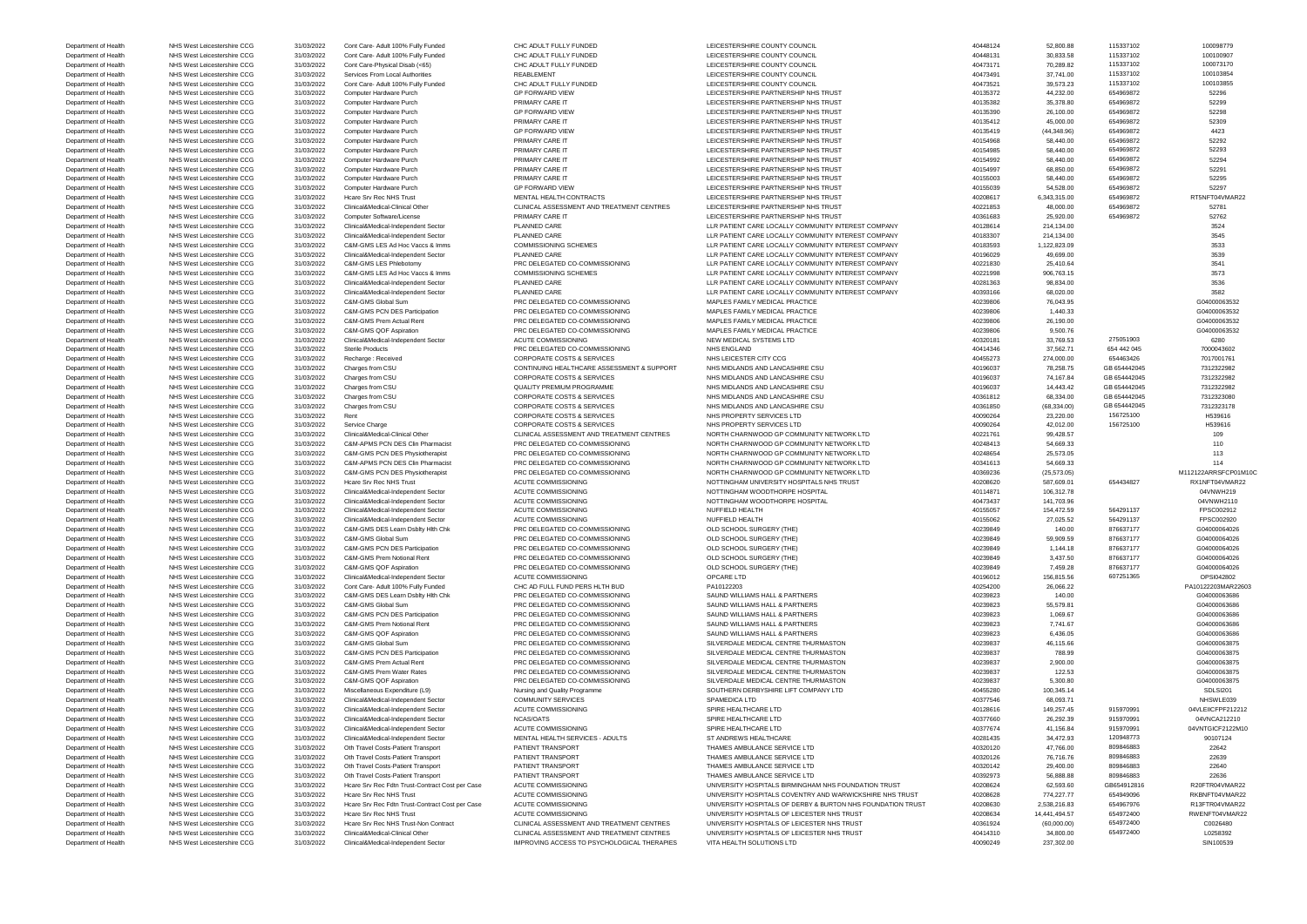Department of Health NHS West Leicestershire CCG 31/03/2022 Clinical&Medical-Independent Sector IMPROVING ACCESS TO PSYCHOLOGICAL THERAPIES VITA HEALTH SOLUTIONS LTD 40090249 237,302.00 237,302.00 SIN100539

Department of Health NHS West Leicestershire CCG 31/03/2022 Cont Care- Adult 100% Fully Funded CHC ADULT FULLY FUNDED LEICESTERSHIRE COUNTY COUNCIL 40448124 52,800.88 115337102 100098779 Department of Health NHS West Leicestershire CCG 31/03/2022 Cont Care- Adult 100% Fully Funded CHC ADULT FULLY FUNDED LEICESTERSHIRE COUNTY COUNCIL 40448131 30,833.58 115337102 100100907 Department of Health NHS West Leicestershire CCG 31/03/2022 Cont Care-Physical Disab (<65) CHC ADULT FULLY FUNDED LEICESTERSHIRE COUNTY COUNCIL 40473171 70,289.82 115337102 100073170 Department of Health NHS West Leicestershire CCG 31/03/2022 Services From Local Authorities REABLEMENT LEICESTERSHIRE COUNTY COUNCIL 20473491 37,741.00 115337102 100103854 Department of Health NHS West Leicestershire CCG 31/03/2022 Cont Care- Adult 100% Fully Funded CHC ADULT FULLY FUNDED LEICESTERSHIRE COUNTY COUNCIL 40473521 39,573.23 115337102 100103855 Department of Health NHS West Leicestershire CCG 31/03/2022 Computer Hardware Purch GP FORWARD VIEW GP FORWARD VIEW LEICESTERSHIRE PARTNERSHIP NHS TRUST 40135372 44,232.00 654969872 52296 Department of Health NHS West Leicestershire CCG 31/03/2022 Computer Hardware Purch PRIMARY CARE IT A Department Department Part NEICESTERSHIRE PARTNERSHIRE PARTNERSHIP NHS TRUST 40135382 35,378.80 654969872 52299 Department of Health NHS West Leicestershire CCG 31/03/2022 Computer Hardware Purch GP FORWARD VIEW LEICESTERSHIRE PARTNERSHIRE PARTNERSHIRE PARTNERSHIRE PARTNERSHIRE PARTNERSHIRE PARTNERSHIRE PARTNERSHIRE PARTNERSHIRE PAR Department of Health NHS West Leicestershire CCG 31/03/2022 Computer Hardware Purch PRIMARY CARE IT COME COMPUTERSHIRE PARTNERSHIRE PARTNERSHIRE PARTNERSHIRE PARTNERSHIRE PARTNERSHIRE PARTNERSHIRE PARTNERSHIRE PARTNERSHIRE Department of Health NHS West Leicestershire CCG 31/03/2022 Computer Hardware Purch GP FORWARD VIEW LEICESTERSHIRE PARTNERSHIP NHS TRUST 40135419 40135419 (44,348.96) 654969872 4423 Department of Health NHS West Leicestershire CCG 31/03/2022 Computer Hardware Purch PRIMARY CARE IT A DEICESTERSHIRE PARTNERSHIRE PARTNERSHIRE PARTNERSHIRE PARTNERSHIRE PARTNERSHIRE PARTNERSHIRE PARTNERSHIRE PARTNERSHIRE P Department of Health NHS West Leicestershire CCG 31/03/2022 Computer Hardware Purch PRIMARY CARE IT PRIMARY CARE IT LEICESTERSHIRE PARTNERSHIRE PARTNERSHIP NHS TRUST 40154985 58,440.00 654969872 52293 58,440.00 654969872 5 Department of Health NHS West Leicestershire CCG 31/03/2022 Computer Hardware Purch PRIMARY CARE IT A DEICESTERSHIRE PARTNERSHIRE PARTNERSHIP NHS TRUST 40154992 58,440.00 654969872 52294 Department of Health NHS West Leicestershire CCG 31/03/2022 Computer Hardware Purch PRIMARY CARE IT LEICESTERSHIRE PARTNERSHIRE PARTNERSHIRE PARTNERSHIRE PARTNERSHIRE PARTNERSHIRE PARTNERSHIRE PARTNERSHIRE PARTNERSHIRE PAR Department of Health NHS West Leicestershire CCG 31/03/2022 Computer Hardware Purch PRIMARY CARE IT A DEICESTERSHIRE PARTNERSHIRE PARTNERSHIP NHS TRUST 40155003 58,440.00 654969872 52295 Department of Health NHS West Leicestershire CCG 31/03/2022 Computer Hardware Purch GP FORWARD VIEW GP FORWARD VIEW LEICESTERSHIRE PARTNERSHIP NHS TRUST 40156039 54,528.00 654969872 52297 52297<br>Department of Health NHS Wes Department of Health NHS West Leicestershire CCG 31/03/2022 Hcare Srv Rec NHS Trust MENTAL HEALTH CONTRACTS LEICESTERSHIRE PARTNERSHIP NHS TRUST 40208617 6,343,315.00 654969872 RT5NFT04VMAR22 Department of Health NHS West Leicestershire CCG 31/03/2022 Clinical&Medical-Clinical Other CLINICAL ASSESSMENT AND TREATMENT CENTRES LEICESTERSHIRE PARTNERSHIP NHS TRUST 40221853 48,000.00 654969872 52781 Department of Health NHS West Leicestershire CCG 31/03/2022 Computer Software/License PRIMARY CARE IT LEICESTERSHIRE PARTNERSHIP NHS TRUST 40361683 25,920.00 654969872 52762 Department of Health NHS West Leicestershire CCG 31/03/2022 Clinical&Medical-Independent Sector PLANNED CARE LLR PATIENT CARE LOCALLY COMMUNITY INTEREST COMPANY 40128614 214,134.00 3524 Department of Health NHS West Leicestershire CCG 31/03/2022 Clinical&Medical-Independent Sector PLANNED CARE LLR PATIENT CARE LOCALLY COMMUNITY INTEREST COMPANY 40183307 214,134.00 214,134.00 3545 Department of Health NHS West Leicestershire CCG 31/03/2022 C&M-GMS LES Ad Hoc Vaccs & Imms COMMISSIONING SCHEMES LLR PATIENT CARE LOCALLY COMMUNITY INTEREST COMPANY 40183593 1,122,823.09 3533 Department of Health NHS West Leicestershire CCG 31/03/2022 Clinical&Medical-Independent Sector PLANNED CARE LLR PATIENT CARE LOCALLY COMMUNITY INTEREST COMPANY 40196029 49,999.00 49,599.00 49,539.00 3539.00 3539.00 3539.0 Department of Health NHS West Leicestershire CCG 31/03/2022 C&M-GMS LES Phlebotomy PRC DELEGATED CO-COMMISSIONING LLR PATIENT CARE LOCALLY COMMUNITY INTEREST COMPANY 40221830 25,410.64 25541.0.64 3541 Department of Health NHS West Leicestershire CCG 31/03/2022 C&M-GMS LES Ad Hoc Vaccs & Imms COMMISSIONING SCHEMES LLR PATIENT CARE LOCALLY COMMUNITY INTEREST COMPANY 40221998 906,763.15 906,763.15 3573 Department of Health NHS West Leicestershire CCG 31/03/2022 Clinical&Medical-Independent Sector PLANNED CARE LOCALLY COMMUNITY INTEREST COMPANY 40281363 98,834.00 98,834.00 3536 Department of Health NHS West Leicestershire CCG 31/03/2022 Clinical&Medical-Independent Sector PLANNED CARE LOCALLY COMMUNITY INTEREST COMPANY 40393166 68,020.00 3582 Department of Health NHS West Leicestershire CCG 31/03/2022 C&M-GMS Global Sum PRC DELEGATED CO-COMMISSIONING MAPLES FAMILY MEDICAL PRACTICE 40239806 76,043.95 76,043.95 76,043.95 604000063532 Department of Health NHS West Leicestershire CCG 31/03/2022 C&M-GMS PCN DES Participation PRC DELEGATED CO-COMMISSIONING MAPLES FAMILY MEDICAL PRACTICE 40239806 40239806 1,440.33 604000063532 Department of Health NHS West Leicestershire CCG 31/03/2022 C&M-GMS Prem Actual Rent PRC DELEGATED CO-COMMISSIONING MAPLES FAMILY MEDICAL PRACTICE 40239806 26,190.00 40239806 26,190.00 C04000063532 Department of Health NHS West Leicestershire CCG 31/03/2022 C&M-GMS QOF Aspiration PRC DELEGATED CO-COMMISSIONING MAPLES FAMILY MEDICAL PRACTICE 40239806 9,500.76 9,500.76 9,500.76 9,500.76 9,500.00000000000000000000000000 Department of Health NHS West Leicestershire CCG 31/03/2022 Clinical&Medical-Independent Sector ACUTE COMMISSIONING NEW MEDICAL SYSTEMS LTD 40320181 33,769.53 275051903 275051903 6280 Department of Health NHS West Leicestershire CCG 31/03/2022 Sterile Products PRC DELEGATED CO-COMMISSIONING NHS ENGLAND 40414346 37,562.71 654 442 045 7000043602 Department of Health NHS West Leicestershire CCG 31/03/2022 Recharge : Received CORPORATE COSTS & SERVICES NHS LEICESTER CITY CCG 40455273 274,000.00 654463426 7017001761 Department of Health NHS West Leicestershire CCG 31/03/2022 Charges from CSU CONTINUING HEALTHCARE ASSESSMENT & SUPPORT NHS MIDLANDS AND LANCASHIRE CSU 40196037 78,258.75 GB 654442045 7312322982<br>Department of Health NHS We Department of Health NHS West Leicestershire CCG 31/03/2022 Charges from CSU CORPORATE COSTS & SERVICES NHS MIDLANDS AND LANCASHIRE CSU 40196037 74,167.84 GB 654442045 7312322982 Department of Health NHS West Leicestershire CCG 31/03/2022 Charges from CSU QUALITY PREMIUM PROGRAMME NHS MIDLANDS AND LANCASHIRE CSU 40196037 14,443.42 GB 654442045 7312322982 Department of Health NHS West Leicestershire CCG 31/03/2022 Charges from CSU CORPORATE COSTS & SERVICES NHS MIDLANDS AND LANCASHIRE CSU 40361812 68,334.00 GB 654442045 7312323080 Department of Health NHS West Leicestershire CCG 31/03/2022 Charges from CSU CORPORATE COSTS & SERVICES NHS MIDLANDS AND LANCASHIRE CSU 40361850 (68,334.00) GB 654442045 7312323178 Department of Health NHS West Leicestershire CCG 31/03/2022 Rent CORPORATE COSTS & SERVICES NHS PROPERTY SERVICES LTD 40090264 23,220.00 156725100 1539616 Department of Health NHS West Leicestershire CCG 31/03/2022 Service Charge CORPORATE COSTS & SERVICES NHS PROPERTY SERVICES LTD 40090264 42,012.00 156725100 1589616 Department of Health NHS West Leicestershire CCG 31/03/2022 Clinical&Medical-Clinical Other CLINICAL ASSESSMENT AND TREATMENT CENTRES NORTH CHARNWOOD GP COMMUNITY NETWORK LTD 40221761 99,428.57 109 Department of Health NHS West Leicestershire CCG 31/03/2022 C&M-APMS PCN DES Clin Pharmacist PRC DELEGATED CO-COMMISSIONING NORTH CHARNWOOD GP COMMUNITY NETWORK LTD 40248413 54,669.33 54,669.33 110 Department of Health NHS West Leicestershire CCG 31/03/2022 C&M-GMS PCN DES Physiotherapist PRC DELEGATED CO-COMMISSIONING NORTH CHARNWOOD GP COMMINITY NETWORK LTD 40248654 25,573.05 25,573.05 113. Department of Health NHS West Leicestershire CCG 31/03/2022 C&M-APMS PCN DES Clin Pharmacist PRC DELEGATED CO-COMMISSIONING NORTH CHARNWOOD GP COMMUNITY NETWORK LTD 40341613 54,669.33 114<br>Department of Health NHS West Leic Department of Health NHS West Leicestershire CCG 31/03/2022 C&M-GMS PCN DES Physiotherapist PRC DELEGATED CO-COMMISSIONING NORTH CHARNWOOD GP COMMUNITY NETWORK LTD 40369236 40369236 (25,573.05) Department of Health NHS West Leicestershire CCG 31/03/2022 Hcare Srv Rec NHS Trust ACUTE COMMISSIONING NOTTINGHAM UNIVERSITY HOSPITALS NHS TRUST 40208620 587,609.01 654434827 RX1NFT04VMAR22 Department of Health NHS West Leicestershire CCG 31/03/2022 Clinical&Medical-Independent Sector ACUTE COMMISSIONING NOTTINGHAM WOODTHORPE HOSPITAL 40114871 106,312.78 106,312.78 04VNWH219 Department of Health NHS West Leicestershire CCG 31/03/2022 Clinical&Medical-Independent Sector ACUTE COMMISSIONING NOTTINGHAM WOODTHORPE HOSPITAL 40473437 141,703.96 141,703.96 141,703.96 141,703.96 141,703.96 141,703.96 Department of Health NHS West Leicestershire CCG 31/03/2022 Clinical&Medical-Independent Sector ACUTE COMMISSIONING NUFFIELD HEALTH 40155057 154,472.59 564291137 FPSC002912 Department of Health NHS West Leicestershire CCG 31/03/2022 Clinical&Medical-Independent Sector ACUTE COMMISSIONING NUFFIELD HEALTH 40155062 27,025.52 564291137 FPSC002920 Department of Health NHS West Leicestershire CCG 31/03/2022 C&M-GMS DES Learn Dsblty Hlth Chk PRC DELEGATED CO-COMMISSIONING OLD SCHOOL SURGERY (THE) 40239849 40239849 140.00 876637177 6604000064026 Department of Health NHS West Leicestershire CCG 31/03/2022 C&M-GMS Global Sum PRC DELEGATED CO-COMMISSIONING OLD SCHOOL SURGERY (THE) 40239849 40239849 59,909.59 876637177 G04000064026 Department of Health NHS West Leicestershire CCG 31/03/2022 C&M-GMS PCN DES Participation PRC DELEGATED CO-COMMISSIONING OLD SCHOOL SURGERY (THE) 40239849 40239849 1,144.18 876637177 G04000064026 Department of Health NHS West Leicestershire CCG 31/03/2022 C&M-GMS Prem Notional Rent PRC DELEGATED CO-COMMISSIONING OLD SCHOOL SURGERY (THE) 40239849 40239849 3,437.50 876637177 6604000064026 Department of Health NHS West Leicestershire CCG 31/03/2022 C&M-GMS QOF Aspiration PRC DELEGATED CO-COMMISSIONING OLD SCHOOL SURGERY (THE) 40239849 40239849 7,459.28 876637177 G04000064026 Department of Health NHS West Leicestershire CCG 31/03/2022 Clinical&Medical-Independent Sector ACUTE COMMISSIONING OPCARE LTD QPCARE LTD 40196012 156,815.56 607251365 607251365 OPSI042802 Department of Health NHS West Leicestershire CCG 31/03/2022 Cont Care- Adult 100% Fully Funded CHC AD FULL FUND PERS HLTH BUD PA10122203 PA10122203 ADM PA101220 203 26,066.22 26:06.22 PA10122203MAR22603 Department of Health NHS West Leicestershire CCG 31/03/2022 C&M-GMS DES Learn Dsblty Hlth Chk PRC DELEGATED CO-COMMISSIONING SAUND WILLIAMS HALL & PARTNERS 40239823 40239823 140.00 40239823 140.00 504000063686 Department of Health NHS West Leicestershire CCG 31/03/2022 C&M-GMS Global Sum PRC DELEGATED CO-COMMISSIONING SAUND WILLIAMS HALL & PARTNERS 40239823 55,579.81 55,579.81 55,579.81 604000063686 Department of Health NHS West Leicestershire CCG 31/03/2022 C&M-GMS PCN DES Participation PRC DELEGATED CO-COMMISSIONING SAUND WILLIAMS HALL & PARTNERS 40239823 40239823 1,069.67 40239823 1,069.67 604000063686 Department of Health NHS West Leicestershire CCG 31/03/2022 C&M-GMS Prem Notional Rent PRC DELEGATED CO-COMMISSIONING SAUND WILLIAMS HALL & PARTNERS 40239823 7,741.67 40239823 7,741.67 604000063686 Department of Health NHS West Leicestershire CCG 31/03/2022 C&M-GMS QOF Aspiration PRC DELEGATED CO-COMMISSIONING SAUND WILLIAMS HALL & PARTNERS 40239823 6,436.05 6,436.05 6,436.05 6,436.05 6,436.05 6,436.05 6,436.05 6,436 Department of Health NHS West Leicestershire CCG 31/03/2022 C&M-GMS Global Sum PRC DELEGATED CO-COMMISSIONING SILVERDALE MEDICAL CENTRE THURMASTON 40239837 46,115.66 40239837 46,115.66 51/08/00063875 46,115.66 51/08/000638 Department of Health NHS West Leicestershire CCG 31/03/2022 C&M-GMS PCN DES Participation PRC DELEGATED CO-COMMISSIONING SILVERDALE MEDICAL CENTRE THURMASTON 40239837 40239837 788.99 788.99 788.99 604000063875 Department of Health NHS West Leicestershire CCG 31/03/2022 C&M-GMS Prem Actual Rent PRC DELEGATED CO-COMMISSIONING SILVERDALE MEDICAL CENTRE THURMASTON 40239837 40239837 2,900.00 40239837 2,900.00 604000063875 Department of Health NHS West Leicestershire CCG 31/03/2022 C&M-GMS Prem Water Rates PRC DELEGATED CO-COMMISSIONING SILVERDALE MEDICAL CENTRE THURMASTON 40239837 422.53 122.53 123.53 5604000063875 123.53 5604000063875 5604 Department of Health NHS West Leicestershire CCG 31/03/2022 C&M-GMS QOF Aspiration PRC DELEGATED CO-COMMISSIONING SILVERDALE MEDICAL CENTRE THURMASTON 40239837 5,300.80 5,300.80 5,300.80 5,4000063875 Department of Health NHS West Leicestershire CCG 31/03/2022 Miscellaneous Expenditure (L9) Nursing and Quality Programme SOUTHERN DERBYSHIRE LIFT COMPANY LTD 40455280 100.345.14 100.345.14 SDLSI201 Department of Health NHS West Leicestershire CCG 31/03/2022 Clinical&Medical-Independent Sector COMMUNITY SERVICES SPAMEDICA LTD SPAMEDICA LTD 40377546 68,093.71 40377546 68,093.71 NHSWLE039 Department of Health NHS West Leicestershire CCG 31/03/2022 Clinical&Medical-Independent Sector ACUTE COMMISSIONING SPIRE HEALTHCARE LTD 40128616 149,257.45 915970991 04VLEIICFPF212212 Department of Health NHS West Leicestershire CCG 31/03/2022 Clinical&Medical-Independent Sector NCAS/OATS SPIRE HEALTHCARE LTD 40377660 26,292.39 915970991 04VNCA212210 Department of Health NHS West Leicestershire CCG 31/03/2022 Clinical&Medical-Independent Sector ACUTE COMMISSIONING SPIRE HEALTHCARE LTD 40377674 41,156.84 915970991 04VNTGICF2122M10 Department of Health NHS West Leicestershire CCG 31/03/2022 Clinical&Medical-Independent Sector MENTAL HEALTH SERVICES - ADULTS ST ANDREWS HEALTHCARE 40281435 34,472.93 120948773 120948773 90107124 Department of Health NHS West Leicestershire CCG 31/03/2022 Oth Travel Costs-Patient Transport PATIENT TRANSPORT PATIENT TRANSPORT THAMES AMBULANCE SERVICE LTD 40320120 47,766.00 47,766.00 809846883 22642 Department of Health NHS West Leicestershire CCG 31/03/2022 Oth Travel Costs-Patient Transport PATIENT TRANSPORT THAMES AMBULANCE SERVICE LTD 40320126 76,716.76 766 809846883 22639 Department of Health NHS West Leicestershire CCG 31/03/2022 Oth Travel Costs-Patient Transport PATIENT TRANSPORT PATIENT TRANSPORT THAMES AMBULANCE SERVICE LTD 40320142 29,400.00 809846883 22640 Department of Health NHS West Leicestershire CCG 31/03/2022 Oth Travel Costs-Patient Transport PATIENT TRANSPORT PATIENT TRANSPORT THAMES AMBULANCE SERVICE LTD 40392973 56,888.88 809846883 809846883 22636 Department of Health MHS West Leicestershire CCG 31/03/2022 Hoare Srv Rec Fdtn Trust-Contract Cost per Case ACUTE COMMISSIONING UNIVERSITY HOSPITALS BIRMINGHAM NHS FOUNDATION TRUST 40208624 62,593.60 GB654912816 R20FTR04VM Department of Health NHS West Leicestershire CCG 31/03/2022 Hcare Srv Rec NHS Trust ACUTE COMMISSIONING NUNIVERSITY HOSPITALS COVENTRY AND WARWICKSHIRE NHS TRUST 40208628 774.227.77 654949096 RKBNFT04VMAR22 Department of Health NHS West Leicestershire CCG 31/03/2022 Hoare Sty Rec Edin Trust-Contract Cost oer Case ACUTE COMMISSIONING UNIVERSITY HOSPITALS OF DERBY & BURTON NHS FOUNDATION TRUST 40208630 2.538.216.83 654967976 R1 Department of Health NHS West Leicestershire CCG 31/03/2022 Hcare Srv Rec NHS Trust ACUTE COMMISSIONING UNIVERSITY HOSPITALS OF LEICESTER NHS TRUST 40208634 14,441,494.57 654972400 RWENFT04VMAR22 Department of Health NHS West Leicestershire CCG 31/03/2022 Hcare Srv Rec NHS Trust-Non Contract CLINICAL ASSESSMENT AND TREATMENT CENTRES UNIVERSITY HOSPITALS OF LEICESTER NHS TRUST 40361924 (60,000.00) 654972400 C0026480 Department of Health NHS West Leicestershire CCG 31/03/2022 Clinical&Medical-Clinical Other CLINICAL ASSESSMENT AND TREATMENT CENTRES UNIVERSITY HOSPITALS OF LEICESTER NHS TRUST 40414310 34,800.00 654972400 10258392